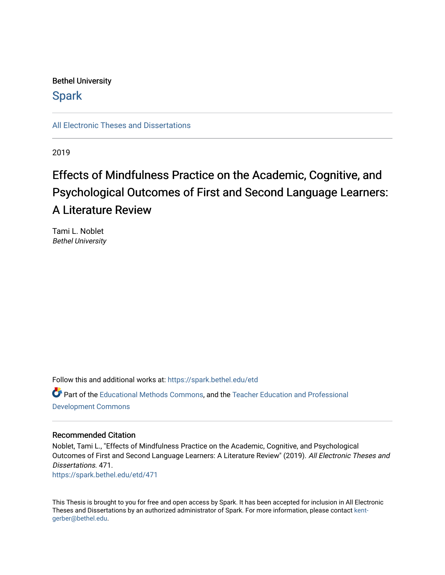## Bethel University

## **Spark**

[All Electronic Theses and Dissertations](https://spark.bethel.edu/etd) 

2019

# Effects of Mindfulness Practice on the Academic, Cognitive, and Psychological Outcomes of First and Second Language Learners: A Literature Review

Tami L. Noblet Bethel University

Follow this and additional works at: [https://spark.bethel.edu/etd](https://spark.bethel.edu/etd?utm_source=spark.bethel.edu%2Fetd%2F471&utm_medium=PDF&utm_campaign=PDFCoverPages) Part of the [Educational Methods Commons,](http://network.bepress.com/hgg/discipline/1227?utm_source=spark.bethel.edu%2Fetd%2F471&utm_medium=PDF&utm_campaign=PDFCoverPages) and the [Teacher Education and Professional](http://network.bepress.com/hgg/discipline/803?utm_source=spark.bethel.edu%2Fetd%2F471&utm_medium=PDF&utm_campaign=PDFCoverPages)  [Development Commons](http://network.bepress.com/hgg/discipline/803?utm_source=spark.bethel.edu%2Fetd%2F471&utm_medium=PDF&utm_campaign=PDFCoverPages) 

#### Recommended Citation

Noblet, Tami L., "Effects of Mindfulness Practice on the Academic, Cognitive, and Psychological Outcomes of First and Second Language Learners: A Literature Review" (2019). All Electronic Theses and Dissertations. 471. [https://spark.bethel.edu/etd/471](https://spark.bethel.edu/etd/471?utm_source=spark.bethel.edu%2Fetd%2F471&utm_medium=PDF&utm_campaign=PDFCoverPages)

This Thesis is brought to you for free and open access by Spark. It has been accepted for inclusion in All Electronic Theses and Dissertations by an authorized administrator of Spark. For more information, please contact [kent](mailto:kent-gerber@bethel.edu)[gerber@bethel.edu.](mailto:kent-gerber@bethel.edu)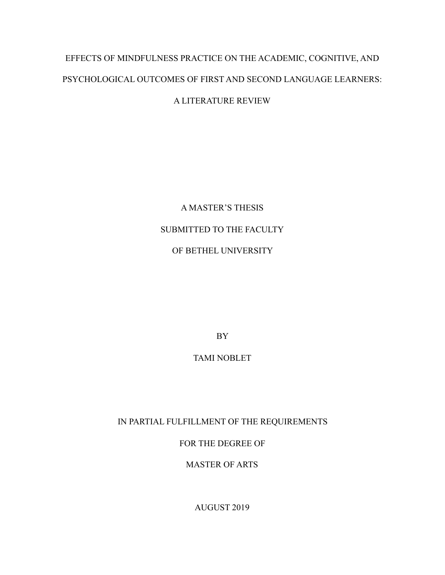# EFFECTS OF MINDFULNESS PRACTICE ON THE ACADEMIC, COGNITIVE, AND PSYCHOLOGICAL OUTCOMES OF FIRST AND SECOND LANGUAGE LEARNERS:

### A LITERATURE REVIEW

A MASTER'S THESIS SUBMITTED TO THE FACULTY OF BETHEL UNIVERSITY

BY

TAMI NOBLET

IN PARTIAL FULFILLMENT OF THE REQUIREMENTS

FOR THE DEGREE OF

MASTER OF ARTS

AUGUST 2019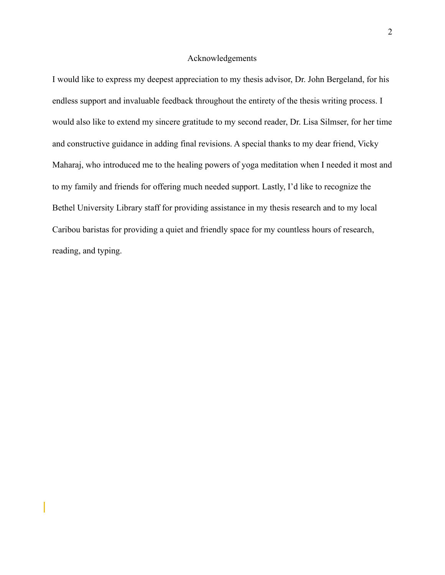#### Acknowledgements

I would like to express my deepest appreciation to my thesis advisor, Dr. John Bergeland, for his endless support and invaluable feedback throughout the entirety of the thesis writing process. I would also like to extend my sincere gratitude to my second reader, Dr. Lisa Silmser, for her time and constructive guidance in adding final revisions. A special thanks to my dear friend, Vicky Maharaj, who introduced me to the healing powers of yoga meditation when I needed it most and to my family and friends for offering much needed support. Lastly, I'd like to recognize the Bethel University Library staff for providing assistance in my thesis research and to my local Caribou baristas for providing a quiet and friendly space for my countless hours of research, reading, and typing.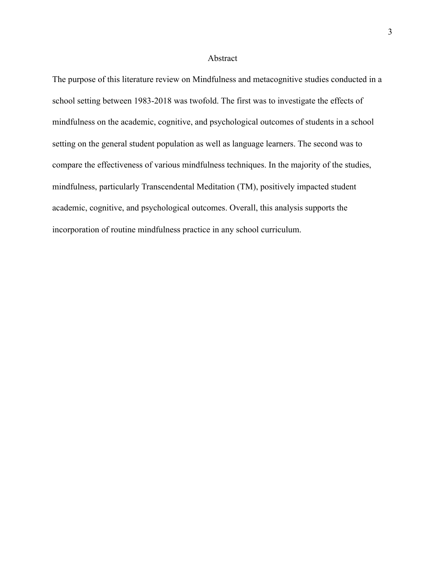#### Abstract

The purpose of this literature review on Mindfulness and metacognitive studies conducted in a school setting between 1983-2018 was twofold. The first was to investigate the effects of mindfulness on the academic, cognitive, and psychological outcomes of students in a school setting on the general student population as well as language learners. The second was to compare the effectiveness of various mindfulness techniques. In the majority of the studies, mindfulness, particularly Transcendental Meditation (TM), positively impacted student academic, cognitive, and psychological outcomes. Overall, this analysis supports the incorporation of routine mindfulness practice in any school curriculum.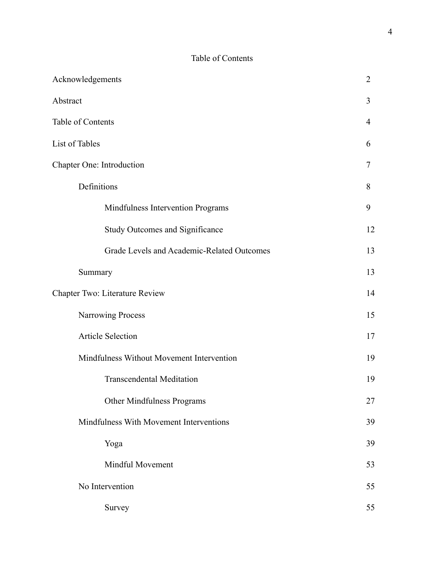### Table of Contents

| Acknowledgements                           | $\overline{2}$ |
|--------------------------------------------|----------------|
| Abstract                                   | 3              |
| Table of Contents                          | 4              |
| List of Tables                             | 6              |
| Chapter One: Introduction                  | 7              |
| Definitions                                | 8              |
| Mindfulness Intervention Programs          | 9              |
| <b>Study Outcomes and Significance</b>     | 12             |
| Grade Levels and Academic-Related Outcomes | 13             |
| Summary                                    | 13             |
| Chapter Two: Literature Review             | 14             |
| Narrowing Process                          | 15             |
| Article Selection                          | 17             |
| Mindfulness Without Movement Intervention  | 19             |
| <b>Transcendental Meditation</b>           | 19             |
| Other Mindfulness Programs                 | 27             |
| Mindfulness With Movement Interventions    | 39             |
| Yoga                                       | 39             |
| Mindful Movement                           | 53             |
| No Intervention                            | 55             |
| Survey                                     | 55             |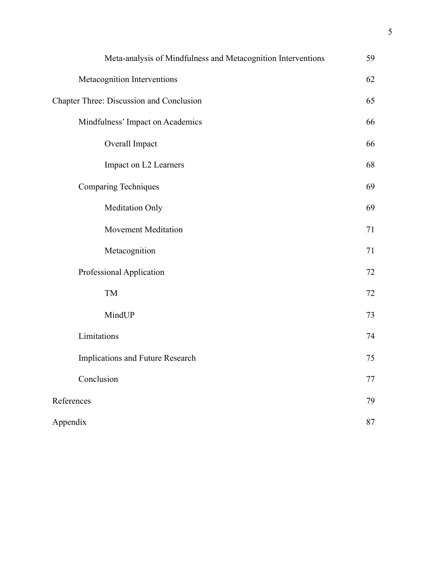| Meta-analysis of Mindfulness and Metacognition Interventions | 59 |
|--------------------------------------------------------------|----|
| Metacognition Interventions                                  | 62 |
| Chapter Three: Discussion and Conclusion                     | 65 |
| Mindfulness' Impact on Academics                             | 66 |
| Overall Impact                                               | 66 |
| Impact on L2 Learners                                        | 68 |
| <b>Comparing Techniques</b>                                  | 69 |
| Meditation Only                                              | 69 |
| <b>Movement Meditation</b>                                   | 71 |
| Metacognition                                                | 71 |
| Professional Application                                     | 72 |
| TM                                                           | 72 |
| MindUP                                                       | 73 |
| Limitations                                                  | 74 |
| Implications and Future Research                             | 75 |
| Conclusion                                                   | 77 |
| References                                                   | 79 |
| Appendix                                                     | 87 |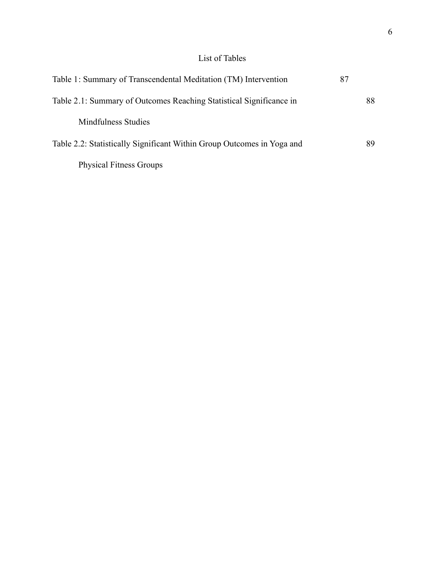## List of Tables

| Table 1: Summary of Transcendental Meditation (TM) Intervention        | 87 |    |
|------------------------------------------------------------------------|----|----|
| Table 2.1: Summary of Outcomes Reaching Statistical Significance in    |    | 88 |
| Mindfulness Studies                                                    |    |    |
| Table 2.2: Statistically Significant Within Group Outcomes in Yoga and |    | 89 |
| <b>Physical Fitness Groups</b>                                         |    |    |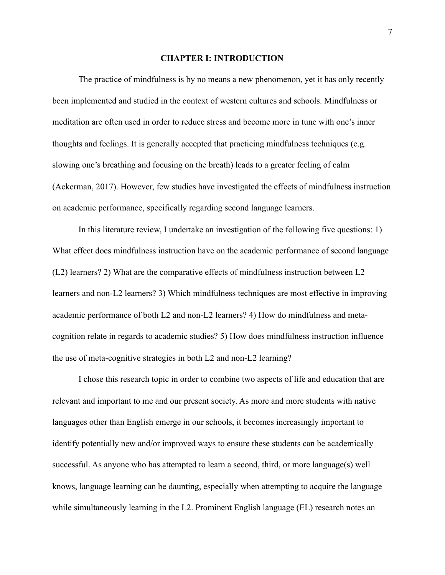#### **CHAPTER I: INTRODUCTION**

The practice of mindfulness is by no means a new phenomenon, yet it has only recently been implemented and studied in the context of western cultures and schools. Mindfulness or meditation are often used in order to reduce stress and become more in tune with one's inner thoughts and feelings. It is generally accepted that practicing mindfulness techniques (e.g. slowing one's breathing and focusing on the breath) leads to a greater feeling of calm (Ackerman, 2017). However, few studies have investigated the effects of mindfulness instruction on academic performance, specifically regarding second language learners.

In this literature review, I undertake an investigation of the following five questions: 1) What effect does mindfulness instruction have on the academic performance of second language (L2) learners? 2) What are the comparative effects of mindfulness instruction between L2 learners and non-L2 learners? 3) Which mindfulness techniques are most effective in improving academic performance of both L2 and non-L2 learners? 4) How do mindfulness and metacognition relate in regards to academic studies? 5) How does mindfulness instruction influence the use of meta-cognitive strategies in both L2 and non-L2 learning?

 I chose this research topic in order to combine two aspects of life and education that are relevant and important to me and our present society. As more and more students with native languages other than English emerge in our schools, it becomes increasingly important to identify potentially new and/or improved ways to ensure these students can be academically successful. As anyone who has attempted to learn a second, third, or more language(s) well knows, language learning can be daunting, especially when attempting to acquire the language while simultaneously learning in the L2. Prominent English language (EL) research notes an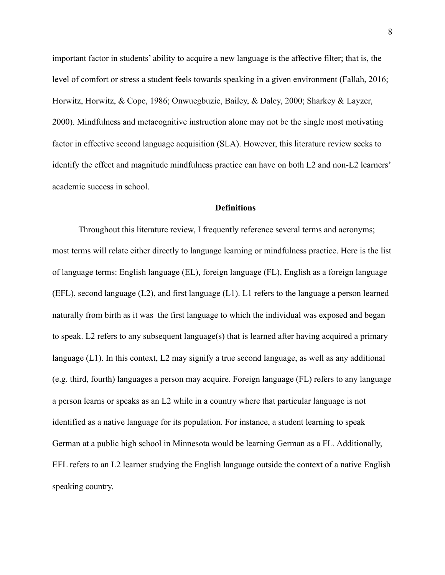important factor in students' ability to acquire a new language is the affective filter; that is, the level of comfort or stress a student feels towards speaking in a given environment (Fallah, 2016; Horwitz, Horwitz, & Cope, 1986; Onwuegbuzie, Bailey, & Daley, 2000; Sharkey & Layzer, 2000). Mindfulness and metacognitive instruction alone may not be the single most motivating factor in effective second language acquisition (SLA). However, this literature review seeks to identify the effect and magnitude mindfulness practice can have on both L2 and non-L2 learners' academic success in school.

#### **Definitions**

 Throughout this literature review, I frequently reference several terms and acronyms; most terms will relate either directly to language learning or mindfulness practice. Here is the list of language terms: English language (EL), foreign language (FL), English as a foreign language (EFL), second language (L2), and first language (L1). L1 refers to the language a person learned naturally from birth as it was the first language to which the individual was exposed and began to speak. L2 refers to any subsequent language(s) that is learned after having acquired a primary language (L1). In this context, L2 may signify a true second language, as well as any additional (e.g. third, fourth) languages a person may acquire. Foreign language (FL) refers to any language a person learns or speaks as an L2 while in a country where that particular language is not identified as a native language for its population. For instance, a student learning to speak German at a public high school in Minnesota would be learning German as a FL. Additionally, EFL refers to an L2 learner studying the English language outside the context of a native English speaking country.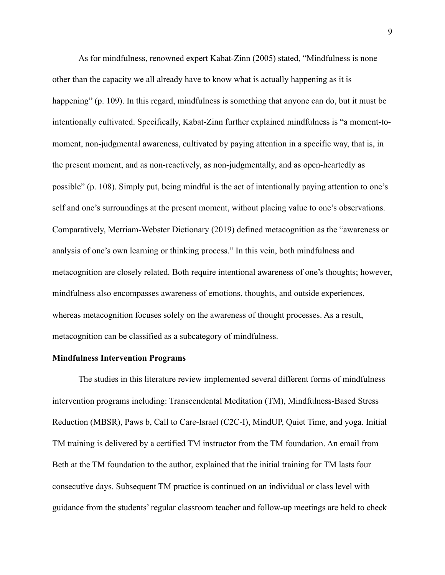As for mindfulness, renowned expert Kabat-Zinn (2005) stated, "Mindfulness is none other than the capacity we all already have to know what is actually happening as it is happening" (p. 109). In this regard, mindfulness is something that anyone can do, but it must be intentionally cultivated. Specifically, Kabat-Zinn further explained mindfulness is "a moment-tomoment, non-judgmental awareness, cultivated by paying attention in a specific way, that is, in the present moment, and as non-reactively, as non-judgmentally, and as open-heartedly as possible" (p. 108). Simply put, being mindful is the act of intentionally paying attention to one's self and one's surroundings at the present moment, without placing value to one's observations. Comparatively, Merriam-Webster Dictionary (2019) defined metacognition as the "awareness or analysis of one's own learning or thinking process." In this vein, both mindfulness and metacognition are closely related. Both require intentional awareness of one's thoughts; however, mindfulness also encompasses awareness of emotions, thoughts, and outside experiences, whereas metacognition focuses solely on the awareness of thought processes. As a result, metacognition can be classified as a subcategory of mindfulness.

#### **Mindfulness Intervention Programs**

 The studies in this literature review implemented several different forms of mindfulness intervention programs including: Transcendental Meditation (TM), Mindfulness-Based Stress Reduction (MBSR), Paws b, Call to Care-Israel (C2C-I), MindUP, Quiet Time, and yoga. Initial TM training is delivered by a certified TM instructor from the TM foundation. An email from Beth at the TM foundation to the author, explained that the initial training for TM lasts four consecutive days. Subsequent TM practice is continued on an individual or class level with guidance from the students' regular classroom teacher and follow-up meetings are held to check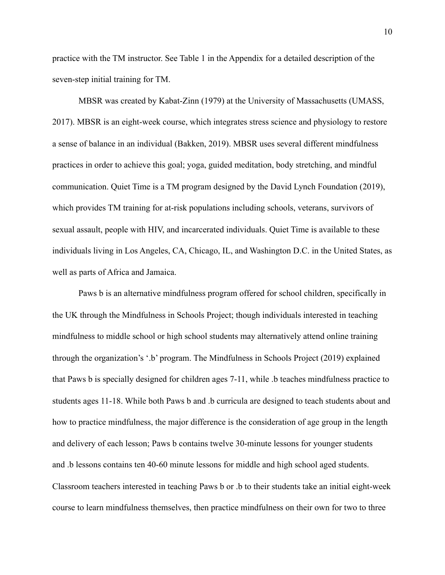practice with the TM instructor. See Table 1 in the Appendix for a detailed description of the seven-step initial training for TM.

 MBSR was created by Kabat-Zinn (1979) at the University of Massachusetts (UMASS, 2017). MBSR is an eight-week course, which integrates stress science and physiology to restore a sense of balance in an individual (Bakken, 2019). MBSR uses several different mindfulness practices in order to achieve this goal; yoga, guided meditation, body stretching, and mindful communication. Quiet Time is a TM program designed by the David Lynch Foundation (2019), which provides TM training for at-risk populations including schools, veterans, survivors of sexual assault, people with HIV, and incarcerated individuals. Quiet Time is available to these individuals living in Los Angeles, CA, Chicago, IL, and Washington D.C. in the United States, as well as parts of Africa and Jamaica.

 Paws b is an alternative mindfulness program offered for school children, specifically in the UK through the Mindfulness in Schools Project; though individuals interested in teaching mindfulness to middle school or high school students may alternatively attend online training through the organization's '.b' program. The Mindfulness in Schools Project (2019) explained that Paws b is specially designed for children ages 7-11, while .b teaches mindfulness practice to students ages 11-18. While both Paws b and .b curricula are designed to teach students about and how to practice mindfulness, the major difference is the consideration of age group in the length and delivery of each lesson; Paws b contains twelve 30-minute lessons for younger students and .b lessons contains ten 40-60 minute lessons for middle and high school aged students. Classroom teachers interested in teaching Paws b or .b to their students take an initial eight-week course to learn mindfulness themselves, then practice mindfulness on their own for two to three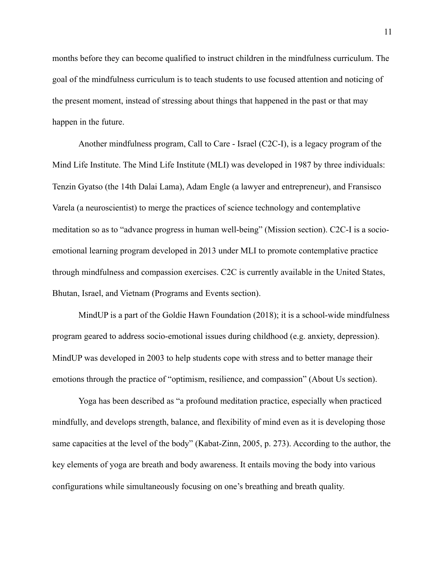months before they can become qualified to instruct children in the mindfulness curriculum. The goal of the mindfulness curriculum is to teach students to use focused attention and noticing of the present moment, instead of stressing about things that happened in the past or that may happen in the future.

 Another mindfulness program, Call to Care - Israel (C2C-I), is a legacy program of the Mind Life Institute. The Mind Life Institute (MLI) was developed in 1987 by three individuals: Tenzin Gyatso (the 14th Dalai Lama), Adam Engle (a lawyer and entrepreneur), and Fransisco Varela (a neuroscientist) to merge the practices of science technology and contemplative meditation so as to "advance progress in human well-being" (Mission section). C2C-I is a socioemotional learning program developed in 2013 under MLI to promote contemplative practice through mindfulness and compassion exercises. C2C is currently available in the United States, Bhutan, Israel, and Vietnam (Programs and Events section).

 MindUP is a part of the Goldie Hawn Foundation (2018); it is a school-wide mindfulness program geared to address socio-emotional issues during childhood (e.g. anxiety, depression). MindUP was developed in 2003 to help students cope with stress and to better manage their emotions through the practice of "optimism, resilience, and compassion" (About Us section).

Yoga has been described as "a profound meditation practice, especially when practiced mindfully, and develops strength, balance, and flexibility of mind even as it is developing those same capacities at the level of the body" (Kabat-Zinn, 2005, p. 273). According to the author, the key elements of yoga are breath and body awareness. It entails moving the body into various configurations while simultaneously focusing on one's breathing and breath quality.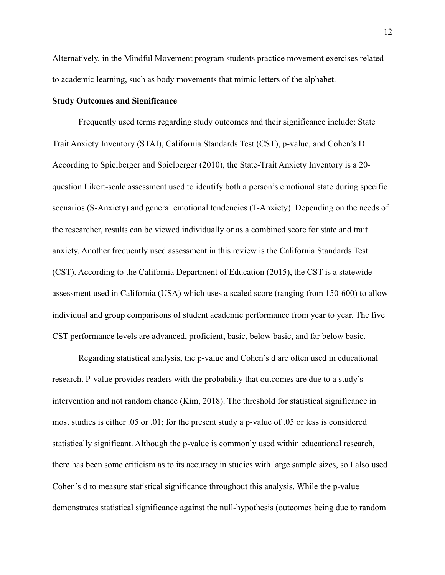Alternatively, in the Mindful Movement program students practice movement exercises related to academic learning, such as body movements that mimic letters of the alphabet.

#### **Study Outcomes and Significance**

Frequently used terms regarding study outcomes and their significance include: State Trait Anxiety Inventory (STAI), California Standards Test (CST), p-value, and Cohen's D. According to Spielberger and Spielberger (2010), the State-Trait Anxiety Inventory is a 20 question Likert-scale assessment used to identify both a person's emotional state during specific scenarios (S-Anxiety) and general emotional tendencies (T-Anxiety). Depending on the needs of the researcher, results can be viewed individually or as a combined score for state and trait anxiety. Another frequently used assessment in this review is the California Standards Test (CST). According to the California Department of Education (2015), the CST is a statewide assessment used in California (USA) which uses a scaled score (ranging from 150-600) to allow individual and group comparisons of student academic performance from year to year. The five CST performance levels are advanced, proficient, basic, below basic, and far below basic.

 Regarding statistical analysis, the p-value and Cohen's d are often used in educational research. P-value provides readers with the probability that outcomes are due to a study's intervention and not random chance (Kim, 2018). The threshold for statistical significance in most studies is either .05 or .01; for the present study a p-value of .05 or less is considered statistically significant. Although the p-value is commonly used within educational research, there has been some criticism as to its accuracy in studies with large sample sizes, so I also used Cohen's d to measure statistical significance throughout this analysis. While the p-value demonstrates statistical significance against the null-hypothesis (outcomes being due to random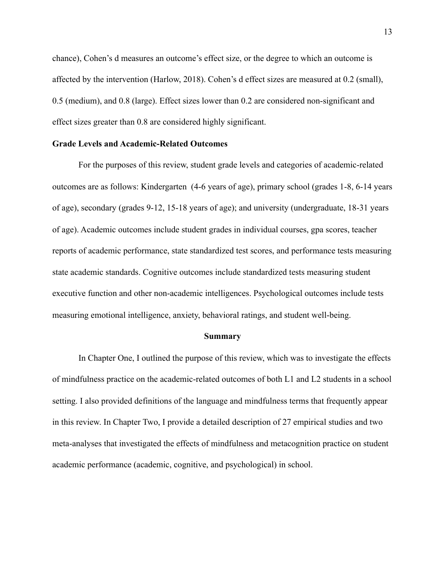chance), Cohen's d measures an outcome's effect size, or the degree to which an outcome is affected by the intervention (Harlow, 2018). Cohen's d effect sizes are measured at 0.2 (small), 0.5 (medium), and 0.8 (large). Effect sizes lower than 0.2 are considered non-significant and effect sizes greater than 0.8 are considered highly significant.

#### **Grade Levels and Academic-Related Outcomes**

 For the purposes of this review, student grade levels and categories of academic-related outcomes are as follows: Kindergarten (4-6 years of age), primary school (grades 1-8, 6-14 years of age), secondary (grades 9-12, 15-18 years of age); and university (undergraduate, 18-31 years of age). Academic outcomes include student grades in individual courses, gpa scores, teacher reports of academic performance, state standardized test scores, and performance tests measuring state academic standards. Cognitive outcomes include standardized tests measuring student executive function and other non-academic intelligences. Psychological outcomes include tests measuring emotional intelligence, anxiety, behavioral ratings, and student well-being.

#### **Summary**

In Chapter One, I outlined the purpose of this review, which was to investigate the effects of mindfulness practice on the academic-related outcomes of both L1 and L2 students in a school setting. I also provided definitions of the language and mindfulness terms that frequently appear in this review. In Chapter Two, I provide a detailed description of 27 empirical studies and two meta-analyses that investigated the effects of mindfulness and metacognition practice on student academic performance (academic, cognitive, and psychological) in school.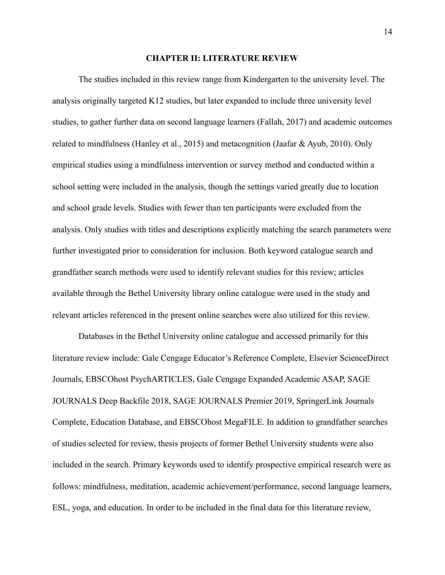#### **CHAPTER II: LITERATURE REVIEW**

The studies included in this review range from Kindergarten to the university level. The analysis originally targeted K12 studies, but later expanded to include three university level studies, to gather further data on second language learners (Fallah, 2017) and academic outcomes related to mindfulness (Hanley et al., 2015) and metacognition (Jaafar & Ayub, 2010). Only empirical studies using a mindfulness intervention or survey method and conducted within a school setting were included in the analysis, though the settings varied greatly due to location and school grade levels. Studies with fewer than ten participants were excluded from the analysis. Only studies with titles and descriptions explicitly matching the search parameters were further investigated prior to consideration for inclusion. Both keyword catalogue search and grandfather search methods were used to identify relevant studies for this review; articles available through the Bethel University library online catalogue were used in the study and relevant articles referenced in the present online searches were also utilized for this review.

Databases in the Bethel University online catalogue and accessed primarily for this literature review include: Gale Cengage Educator's Reference Complete, Elsevier ScienceDirect Journals, EBSCOhost PsychARTICLES, Gale Cengage Expanded Academic ASAP, SAGE JOURNALS Deep Backfile 2018, SAGE JOURNALS Premier 2019, SpringerLink Journals Complete, Education Database, and EBSCOhost MegaFILE. In addition to grandfather searches of studies selected for review, thesis projects of former Bethel University students were also included in the search. Primary keywords used to identify prospective empirical research were as follows: mindfulness, meditation, academic achievement/performance, second language learners, ESL, yoga, and education. In order to be included in the final data for this literature review,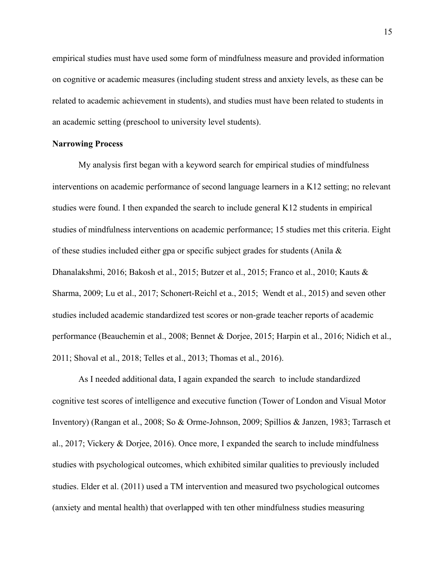empirical studies must have used some form of mindfulness measure and provided information on cognitive or academic measures (including student stress and anxiety levels, as these can be related to academic achievement in students), and studies must have been related to students in an academic setting (preschool to university level students).

#### **Narrowing Process**

My analysis first began with a keyword search for empirical studies of mindfulness interventions on academic performance of second language learners in a K12 setting; no relevant studies were found. I then expanded the search to include general K12 students in empirical studies of mindfulness interventions on academic performance; 15 studies met this criteria. Eight of these studies included either gpa or specific subject grades for students (Anila & Dhanalakshmi, 2016; Bakosh et al., 2015; Butzer et al., 2015; Franco et al., 2010; Kauts & Sharma, 2009; Lu et al., 2017; Schonert-Reichl et a., 2015; Wendt et al., 2015) and seven other studies included academic standardized test scores or non-grade teacher reports of academic performance (Beauchemin et al., 2008; Bennet & Dorjee, 2015; Harpin et al., 2016; Nidich et al., 2011; Shoval et al., 2018; Telles et al., 2013; Thomas et al., 2016).

As I needed additional data, I again expanded the search to include standardized cognitive test scores of intelligence and executive function (Tower of London and Visual Motor Inventory) (Rangan et al., 2008; So & Orme-Johnson, 2009; Spillios & Janzen, 1983; Tarrasch et al., 2017; Vickery & Dorjee, 2016). Once more, I expanded the search to include mindfulness studies with psychological outcomes, which exhibited similar qualities to previously included studies. Elder et al. (2011) used a TM intervention and measured two psychological outcomes (anxiety and mental health) that overlapped with ten other mindfulness studies measuring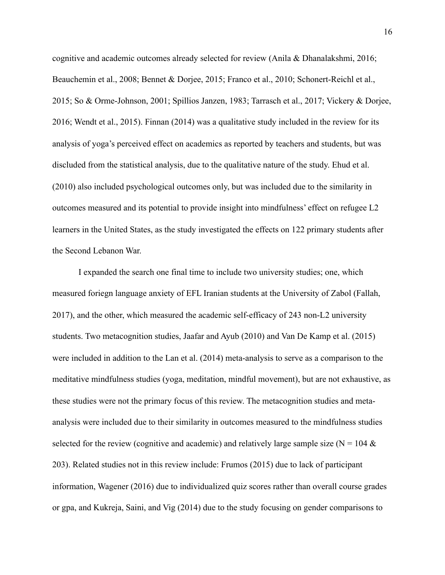cognitive and academic outcomes already selected for review (Anila & Dhanalakshmi, 2016; Beauchemin et al., 2008; Bennet & Dorjee, 2015; Franco et al., 2010; Schonert-Reichl et al., 2015; So & Orme-Johnson, 2001; Spillios Janzen, 1983; Tarrasch et al., 2017; Vickery & Dorjee, 2016; Wendt et al., 2015). Finnan (2014) was a qualitative study included in the review for its analysis of yoga's perceived effect on academics as reported by teachers and students, but was discluded from the statistical analysis, due to the qualitative nature of the study. Ehud et al. (2010) also included psychological outcomes only, but was included due to the similarity in outcomes measured and its potential to provide insight into mindfulness' effect on refugee L2 learners in the United States, as the study investigated the effects on 122 primary students after the Second Lebanon War.

I expanded the search one final time to include two university studies; one, which measured foriegn language anxiety of EFL Iranian students at the University of Zabol (Fallah, 2017), and the other, which measured the academic self-efficacy of 243 non-L2 university students. Two metacognition studies, Jaafar and Ayub (2010) and Van De Kamp et al. (2015) were included in addition to the Lan et al. (2014) meta-analysis to serve as a comparison to the meditative mindfulness studies (yoga, meditation, mindful movement), but are not exhaustive, as these studies were not the primary focus of this review. The metacognition studies and metaanalysis were included due to their similarity in outcomes measured to the mindfulness studies selected for the review (cognitive and academic) and relatively large sample size ( $N = 104 \&$ 203). Related studies not in this review include: Frumos (2015) due to lack of participant information, Wagener (2016) due to individualized quiz scores rather than overall course grades or gpa, and Kukreja, Saini, and Vig (2014) due to the study focusing on gender comparisons to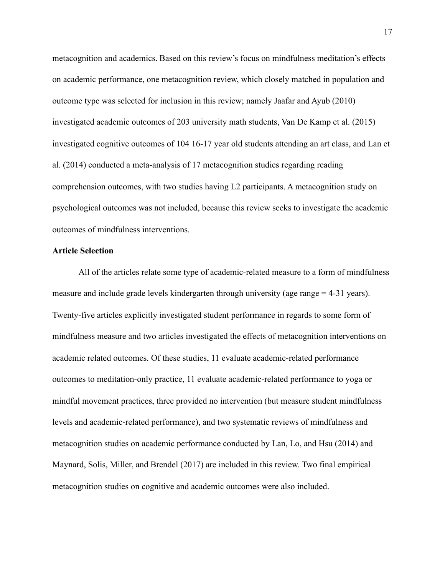metacognition and academics. Based on this review's focus on mindfulness meditation's effects on academic performance, one metacognition review, which closely matched in population and outcome type was selected for inclusion in this review; namely Jaafar and Ayub (2010) investigated academic outcomes of 203 university math students, Van De Kamp et al. (2015) investigated cognitive outcomes of 104 16-17 year old students attending an art class, and Lan et al. (2014) conducted a meta-analysis of 17 metacognition studies regarding reading comprehension outcomes, with two studies having L2 participants. A metacognition study on psychological outcomes was not included, because this review seeks to investigate the academic outcomes of mindfulness interventions.

#### **Article Selection**

All of the articles relate some type of academic-related measure to a form of mindfulness measure and include grade levels kindergarten through university (age range = 4-31 years). Twenty-five articles explicitly investigated student performance in regards to some form of mindfulness measure and two articles investigated the effects of metacognition interventions on academic related outcomes. Of these studies, 11 evaluate academic-related performance outcomes to meditation-only practice, 11 evaluate academic-related performance to yoga or mindful movement practices, three provided no intervention (but measure student mindfulness levels and academic-related performance), and two systematic reviews of mindfulness and metacognition studies on academic performance conducted by Lan, Lo, and Hsu (2014) and Maynard, Solis, Miller, and Brendel (2017) are included in this review. Two final empirical metacognition studies on cognitive and academic outcomes were also included.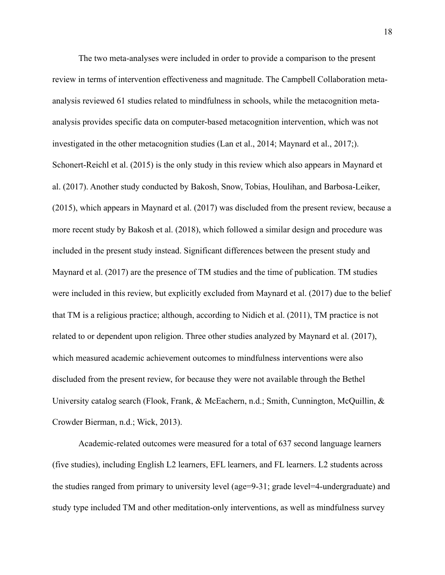The two meta-analyses were included in order to provide a comparison to the present review in terms of intervention effectiveness and magnitude. The Campbell Collaboration metaanalysis reviewed 61 studies related to mindfulness in schools, while the metacognition metaanalysis provides specific data on computer-based metacognition intervention, which was not investigated in the other metacognition studies (Lan et al., 2014; Maynard et al., 2017;). Schonert-Reichl et al. (2015) is the only study in this review which also appears in Maynard et al. (2017). Another study conducted by Bakosh, Snow, Tobias, Houlihan, and Barbosa-Leiker, (2015), which appears in Maynard et al. (2017) was discluded from the present review, because a more recent study by Bakosh et al. (2018), which followed a similar design and procedure was included in the present study instead. Significant differences between the present study and Maynard et al. (2017) are the presence of TM studies and the time of publication. TM studies were included in this review, but explicitly excluded from Maynard et al. (2017) due to the belief that TM is a religious practice; although, according to Nidich et al. (2011), TM practice is not related to or dependent upon religion. Three other studies analyzed by Maynard et al. (2017), which measured academic achievement outcomes to mindfulness interventions were also discluded from the present review, for because they were not available through the Bethel University catalog search (Flook, Frank, & McEachern, n.d.; Smith, Cunnington, McOuillin, & Crowder Bierman, n.d.; Wick, 2013).

Academic-related outcomes were measured for a total of 637 second language learners (five studies), including English L2 learners, EFL learners, and FL learners. L2 students across the studies ranged from primary to university level (age=9-31; grade level=4-undergraduate) and study type included TM and other meditation-only interventions, as well as mindfulness survey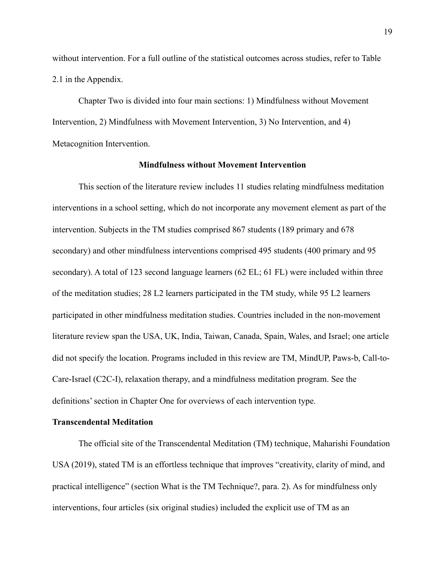without intervention. For a full outline of the statistical outcomes across studies, refer to Table 2.1 in the Appendix.

Chapter Two is divided into four main sections: 1) Mindfulness without Movement Intervention, 2) Mindfulness with Movement Intervention, 3) No Intervention, and 4) Metacognition Intervention.

#### **Mindfulness without Movement Intervention**

This section of the literature review includes 11 studies relating mindfulness meditation interventions in a school setting, which do not incorporate any movement element as part of the intervention. Subjects in the TM studies comprised 867 students (189 primary and 678 secondary) and other mindfulness interventions comprised 495 students (400 primary and 95 secondary). A total of 123 second language learners (62 EL; 61 FL) were included within three of the meditation studies; 28 L2 learners participated in the TM study, while 95 L2 learners participated in other mindfulness meditation studies. Countries included in the non-movement literature review span the USA, UK, India, Taiwan, Canada, Spain, Wales, and Israel; one article did not specify the location. Programs included in this review are TM, MindUP, Paws-b, Call-to-Care-Israel (C2C-I), relaxation therapy, and a mindfulness meditation program. See the definitions' section in Chapter One for overviews of each intervention type.

#### **Transcendental Meditation**

The official site of the Transcendental Meditation (TM) technique, Maharishi Foundation USA (2019), stated TM is an effortless technique that improves "creativity, clarity of mind, and practical intelligence" (section What is the TM Technique?, para. 2). As for mindfulness only interventions, four articles (six original studies) included the explicit use of TM as an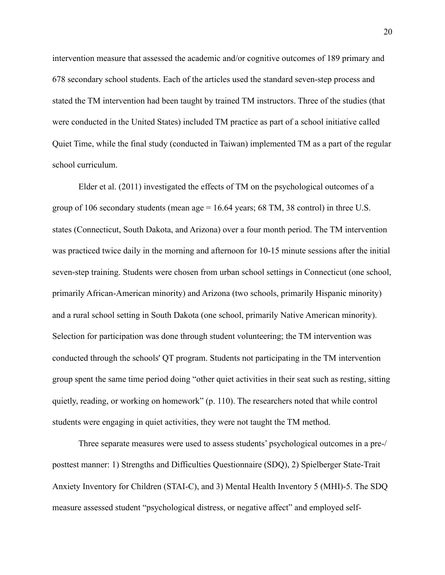intervention measure that assessed the academic and/or cognitive outcomes of 189 primary and 678 secondary school students. Each of the articles used the standard seven-step process and stated the TM intervention had been taught by trained TM instructors. Three of the studies (that were conducted in the United States) included TM practice as part of a school initiative called Quiet Time, while the final study (conducted in Taiwan) implemented TM as a part of the regular school curriculum.

Elder et al. (2011) investigated the effects of TM on the psychological outcomes of a group of 106 secondary students (mean age = 16.64 years; 68 TM, 38 control) in three U.S. states (Connecticut, South Dakota, and Arizona) over a four month period. The TM intervention was practiced twice daily in the morning and afternoon for 10-15 minute sessions after the initial seven-step training. Students were chosen from urban school settings in Connecticut (one school, primarily African-American minority) and Arizona (two schools, primarily Hispanic minority) and a rural school setting in South Dakota (one school, primarily Native American minority). Selection for participation was done through student volunteering; the TM intervention was conducted through the schools' QT program. Students not participating in the TM intervention group spent the same time period doing "other quiet activities in their seat such as resting, sitting quietly, reading, or working on homework" (p. 110). The researchers noted that while control students were engaging in quiet activities, they were not taught the TM method.

 Three separate measures were used to assess students' psychological outcomes in a pre-/ posttest manner: 1) Strengths and Difficulties Questionnaire (SDQ), 2) Spielberger State-Trait Anxiety Inventory for Children (STAI-C), and 3) Mental Health Inventory 5 (MHI)-5. The SDQ measure assessed student "psychological distress, or negative affect" and employed self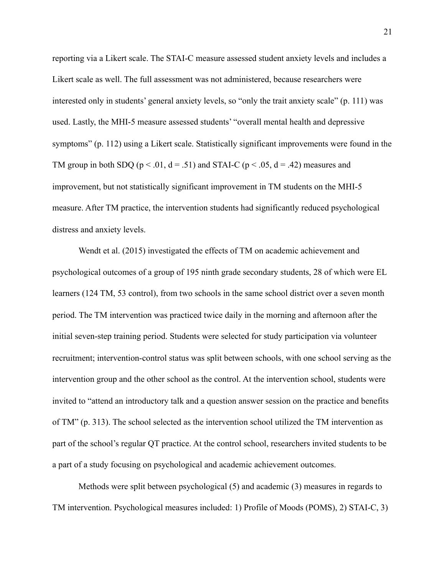reporting via a Likert scale. The STAI-C measure assessed student anxiety levels and includes a Likert scale as well. The full assessment was not administered, because researchers were interested only in students' general anxiety levels, so "only the trait anxiety scale" (p. 111) was used. Lastly, the MHI-5 measure assessed students' "overall mental health and depressive symptoms" (p. 112) using a Likert scale. Statistically significant improvements were found in the TM group in both SDQ ( $p < 0.01$ ,  $d = 0.51$ ) and STAI-C ( $p < 0.05$ ,  $d = 0.42$ ) measures and improvement, but not statistically significant improvement in TM students on the MHI-5 measure. After TM practice, the intervention students had significantly reduced psychological distress and anxiety levels.

Wendt et al. (2015) investigated the effects of TM on academic achievement and psychological outcomes of a group of 195 ninth grade secondary students, 28 of which were EL learners (124 TM, 53 control), from two schools in the same school district over a seven month period. The TM intervention was practiced twice daily in the morning and afternoon after the initial seven-step training period. Students were selected for study participation via volunteer recruitment; intervention-control status was split between schools, with one school serving as the intervention group and the other school as the control. At the intervention school, students were invited to "attend an introductory talk and a question answer session on the practice and benefits of TM" (p. 313). The school selected as the intervention school utilized the TM intervention as part of the school's regular QT practice. At the control school, researchers invited students to be a part of a study focusing on psychological and academic achievement outcomes.

 Methods were split between psychological (5) and academic (3) measures in regards to TM intervention. Psychological measures included: 1) Profile of Moods (POMS), 2) STAI-C, 3)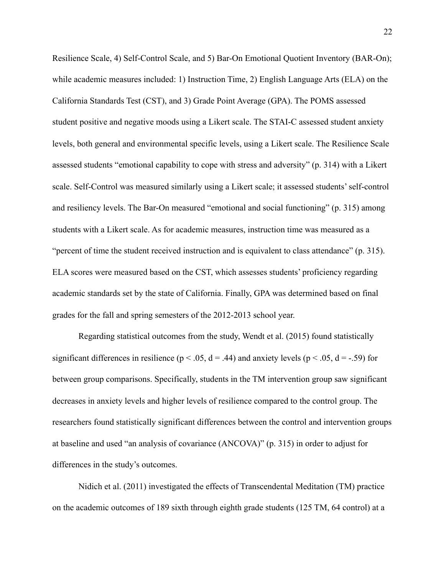Resilience Scale, 4) Self-Control Scale, and 5) Bar-On Emotional Quotient Inventory (BAR-On); while academic measures included: 1) Instruction Time, 2) English Language Arts (ELA) on the California Standards Test (CST), and 3) Grade Point Average (GPA). The POMS assessed student positive and negative moods using a Likert scale. The STAI-C assessed student anxiety levels, both general and environmental specific levels, using a Likert scale. The Resilience Scale assessed students "emotional capability to cope with stress and adversity" (p. 314) with a Likert scale. Self-Control was measured similarly using a Likert scale; it assessed students' self-control and resiliency levels. The Bar-On measured "emotional and social functioning" (p. 315) among students with a Likert scale. As for academic measures, instruction time was measured as a "percent of time the student received instruction and is equivalent to class attendance" (p. 315). ELA scores were measured based on the CST, which assesses students' proficiency regarding academic standards set by the state of California. Finally, GPA was determined based on final grades for the fall and spring semesters of the 2012-2013 school year.

 Regarding statistical outcomes from the study, Wendt et al. (2015) found statistically significant differences in resilience ( $p < .05$ ,  $d = .44$ ) and anxiety levels ( $p < .05$ ,  $d = -.59$ ) for between group comparisons. Specifically, students in the TM intervention group saw significant decreases in anxiety levels and higher levels of resilience compared to the control group. The researchers found statistically significant differences between the control and intervention groups at baseline and used "an analysis of covariance (ANCOVA)" (p. 315) in order to adjust for differences in the study's outcomes.

Nidich et al. (2011) investigated the effects of Transcendental Meditation (TM) practice on the academic outcomes of 189 sixth through eighth grade students (125 TM, 64 control) at a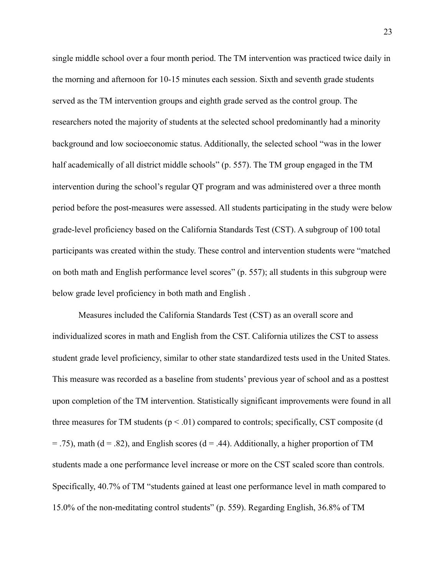single middle school over a four month period. The TM intervention was practiced twice daily in the morning and afternoon for 10-15 minutes each session. Sixth and seventh grade students served as the TM intervention groups and eighth grade served as the control group. The researchers noted the majority of students at the selected school predominantly had a minority background and low socioeconomic status. Additionally, the selected school "was in the lower half academically of all district middle schools" (p. 557). The TM group engaged in the TM intervention during the school's regular QT program and was administered over a three month period before the post-measures were assessed. All students participating in the study were below grade-level proficiency based on the California Standards Test (CST). A subgroup of 100 total participants was created within the study. These control and intervention students were "matched on both math and English performance level scores" (p. 557); all students in this subgroup were below grade level proficiency in both math and English .

 Measures included the California Standards Test (CST) as an overall score and individualized scores in math and English from the CST. California utilizes the CST to assess student grade level proficiency, similar to other state standardized tests used in the United States. This measure was recorded as a baseline from students' previous year of school and as a posttest upon completion of the TM intervention. Statistically significant improvements were found in all three measures for TM students ( $p < .01$ ) compared to controls; specifically, CST composite (d  $=$  .75), math (d = .82), and English scores (d = .44). Additionally, a higher proportion of TM students made a one performance level increase or more on the CST scaled score than controls. Specifically, 40.7% of TM "students gained at least one performance level in math compared to 15.0% of the non-meditating control students" (p. 559). Regarding English, 36.8% of TM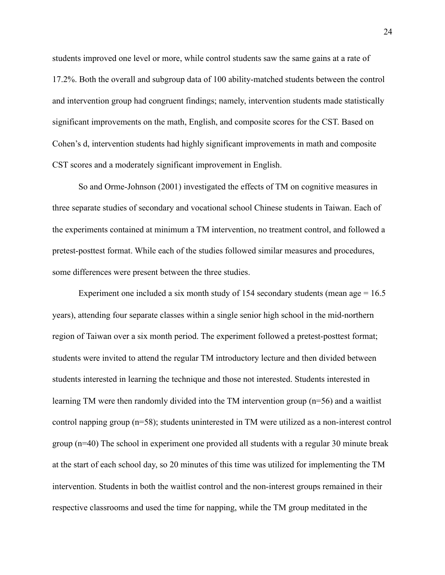students improved one level or more, while control students saw the same gains at a rate of 17.2%. Both the overall and subgroup data of 100 ability-matched students between the control and intervention group had congruent findings; namely, intervention students made statistically significant improvements on the math, English, and composite scores for the CST. Based on Cohen's d, intervention students had highly significant improvements in math and composite CST scores and a moderately significant improvement in English.

So and Orme-Johnson (2001) investigated the effects of TM on cognitive measures in three separate studies of secondary and vocational school Chinese students in Taiwan. Each of the experiments contained at minimum a TM intervention, no treatment control, and followed a pretest-posttest format. While each of the studies followed similar measures and procedures, some differences were present between the three studies.

Experiment one included a six month study of 154 secondary students (mean age  $= 16.5$ ) years), attending four separate classes within a single senior high school in the mid-northern region of Taiwan over a six month period. The experiment followed a pretest-posttest format; students were invited to attend the regular TM introductory lecture and then divided between students interested in learning the technique and those not interested. Students interested in learning TM were then randomly divided into the TM intervention group (n=56) and a waitlist control napping group (n=58); students uninterested in TM were utilized as a non-interest control group (n=40) The school in experiment one provided all students with a regular 30 minute break at the start of each school day, so 20 minutes of this time was utilized for implementing the TM intervention. Students in both the waitlist control and the non-interest groups remained in their respective classrooms and used the time for napping, while the TM group meditated in the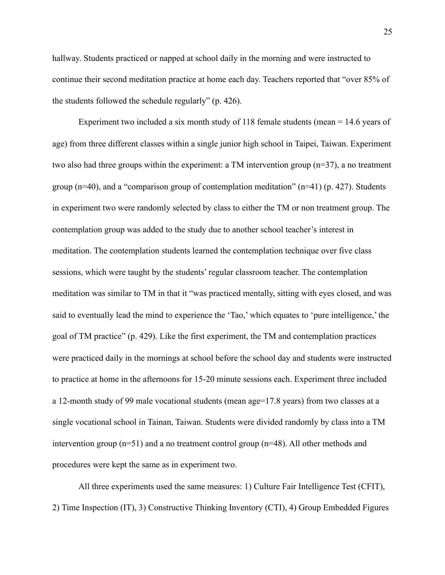hallway. Students practiced or napped at school daily in the morning and were instructed to continue their second meditation practice at home each day. Teachers reported that "over 85% of the students followed the schedule regularly" (p. 426).

 Experiment two included a six month study of 118 female students (mean = 14.6 years of age) from three different classes within a single junior high school in Taipei, Taiwan. Experiment two also had three groups within the experiment: a TM intervention group (n=37), a no treatment group ( $n=40$ ), and a "comparison group of contemplation meditation" ( $n=41$ ) (p. 427). Students in experiment two were randomly selected by class to either the TM or non treatment group. The contemplation group was added to the study due to another school teacher's interest in meditation. The contemplation students learned the contemplation technique over five class sessions, which were taught by the students' regular classroom teacher. The contemplation meditation was similar to TM in that it "was practiced mentally, sitting with eyes closed, and was said to eventually lead the mind to experience the 'Tao,' which equates to 'pure intelligence,' the goal of TM practice" (p. 429). Like the first experiment, the TM and contemplation practices were practiced daily in the mornings at school before the school day and students were instructed to practice at home in the afternoons for 15-20 minute sessions each. Experiment three included a 12-month study of 99 male vocational students (mean age=17.8 years) from two classes at a single vocational school in Tainan, Taiwan. Students were divided randomly by class into a TM intervention group (n=51) and a no treatment control group (n=48). All other methods and procedures were kept the same as in experiment two.

 All three experiments used the same measures: 1) Culture Fair Intelligence Test (CFIT), 2) Time Inspection (IT), 3) Constructive Thinking Inventory (CTI), 4) Group Embedded Figures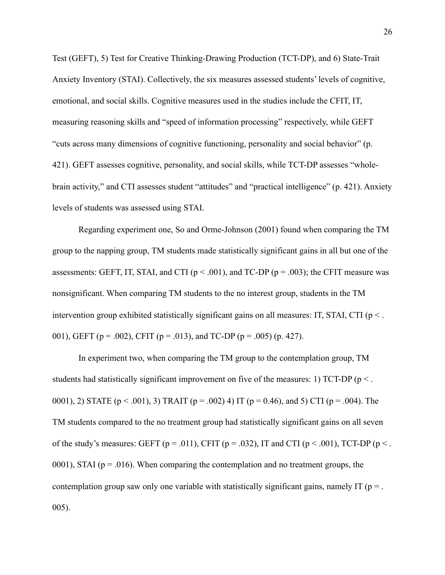Test (GEFT), 5) Test for Creative Thinking-Drawing Production (TCT-DP), and 6) State-Trait Anxiety Inventory (STAI). Collectively, the six measures assessed students' levels of cognitive, emotional, and social skills. Cognitive measures used in the studies include the CFIT, IT, measuring reasoning skills and "speed of information processing" respectively, while GEFT "cuts across many dimensions of cognitive functioning, personality and social behavior" (p. 421). GEFT assesses cognitive, personality, and social skills, while TCT-DP assesses "wholebrain activity," and CTI assesses student "attitudes" and "practical intelligence" (p. 421). Anxiety levels of students was assessed using STAI.

 Regarding experiment one, So and Orme-Johnson (2001) found when comparing the TM group to the napping group, TM students made statistically significant gains in all but one of the assessments: GEFT, IT, STAI, and CTI ( $p < .001$ ), and TC-DP ( $p = .003$ ); the CFIT measure was nonsignificant. When comparing TM students to the no interest group, students in the TM intervention group exhibited statistically significant gains on all measures: IT, STAI, CTI ( $p <$ ). 001), GEFT (p = .002), CFIT (p = .013), and TC-DP (p = .005) (p. 427).

 In experiment two, when comparing the TM group to the contemplation group, TM students had statistically significant improvement on five of the measures: 1) TCT-DP (p < . 0001), 2) STATE ( $p < .001$ ), 3) TRAIT ( $p = .002$ ) 4) IT ( $p = 0.46$ ), and 5) CTI ( $p = .004$ ). The TM students compared to the no treatment group had statistically significant gains on all seven of the study's measures: GEFT ( $p = .011$ ), CFIT ( $p = .032$ ), IT and CTI ( $p < .001$ ), TCT-DP ( $p < .$ 0001), STAI ( $p = 0.016$ ). When comparing the contemplation and no treatment groups, the contemplation group saw only one variable with statistically significant gains, namely IT ( $p =$ . 005).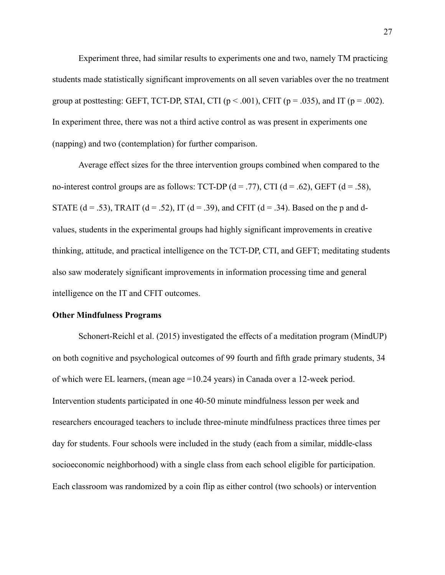Experiment three, had similar results to experiments one and two, namely TM practicing students made statistically significant improvements on all seven variables over the no treatment group at posttesting: GEFT, TCT-DP, STAI, CTI ( $p < .001$ ), CFIT ( $p = .035$ ), and IT ( $p = .002$ ). In experiment three, there was not a third active control as was present in experiments one (napping) and two (contemplation) for further comparison.

 Average effect sizes for the three intervention groups combined when compared to the no-interest control groups are as follows: TCT-DP  $(d = .77)$ , CTI  $(d = .62)$ , GEFT  $(d = .58)$ , STATE (d = .53), TRAIT (d = .52), IT (d = .39), and CFIT (d = .34). Based on the p and dvalues, students in the experimental groups had highly significant improvements in creative thinking, attitude, and practical intelligence on the TCT-DP, CTI, and GEFT; meditating students also saw moderately significant improvements in information processing time and general intelligence on the IT and CFIT outcomes.

#### **Other Mindfulness Programs**

Schonert-Reichl et al. (2015) investigated the effects of a meditation program (MindUP) on both cognitive and psychological outcomes of 99 fourth and fifth grade primary students, 34 of which were EL learners, (mean age =10.24 years) in Canada over a 12-week period. Intervention students participated in one 40-50 minute mindfulness lesson per week and researchers encouraged teachers to include three-minute mindfulness practices three times per day for students. Four schools were included in the study (each from a similar, middle-class socioeconomic neighborhood) with a single class from each school eligible for participation. Each classroom was randomized by a coin flip as either control (two schools) or intervention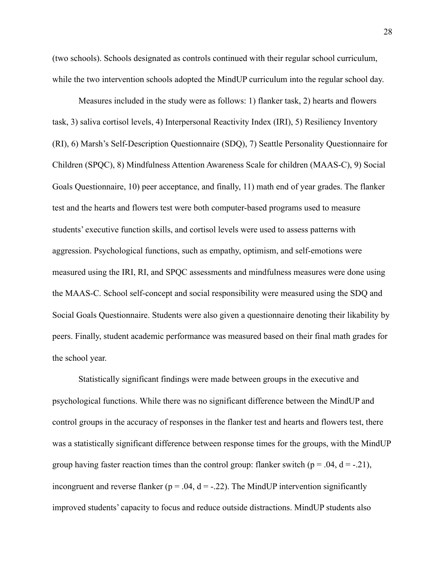(two schools). Schools designated as controls continued with their regular school curriculum, while the two intervention schools adopted the MindUP curriculum into the regular school day.

 Measures included in the study were as follows: 1) flanker task, 2) hearts and flowers task, 3) saliva cortisol levels, 4) Interpersonal Reactivity Index (IRI), 5) Resiliency Inventory (RI), 6) Marsh's Self-Description Questionnaire (SDQ), 7) Seattle Personality Questionnaire for Children (SPQC), 8) Mindfulness Attention Awareness Scale for children (MAAS-C), 9) Social Goals Questionnaire, 10) peer acceptance, and finally, 11) math end of year grades. The flanker test and the hearts and flowers test were both computer-based programs used to measure students' executive function skills, and cortisol levels were used to assess patterns with aggression. Psychological functions, such as empathy, optimism, and self-emotions were measured using the IRI, RI, and SPQC assessments and mindfulness measures were done using the MAAS-C. School self-concept and social responsibility were measured using the SDQ and Social Goals Questionnaire. Students were also given a questionnaire denoting their likability by peers. Finally, student academic performance was measured based on their final math grades for the school year.

 Statistically significant findings were made between groups in the executive and psychological functions. While there was no significant difference between the MindUP and control groups in the accuracy of responses in the flanker test and hearts and flowers test, there was a statistically significant difference between response times for the groups, with the MindUP group having faster reaction times than the control group: flanker switch ( $p = .04$ ,  $d = -.21$ ), incongruent and reverse flanker ( $p = .04$ ,  $d = .22$ ). The MindUP intervention significantly improved students' capacity to focus and reduce outside distractions. MindUP students also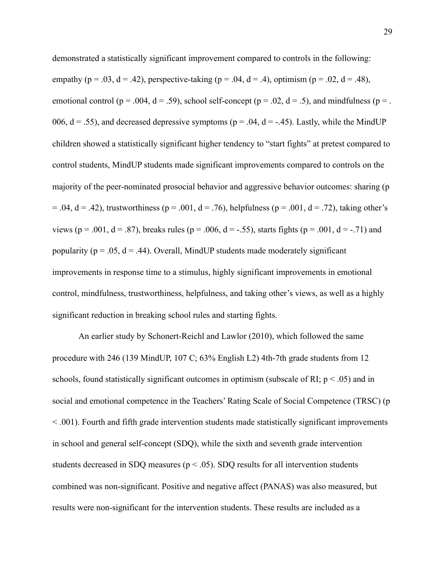demonstrated a statistically significant improvement compared to controls in the following: empathy (p = .03, d = .42), perspective-taking (p = .04, d = .4), optimism (p = .02, d = .48), emotional control ( $p = .004$ ,  $d = .59$ ), school self-concept ( $p = .02$ ,  $d = .5$ ), and mindfulness ( $p = .$ 006,  $d = .55$ ), and decreased depressive symptoms ( $p = .04$ ,  $d = -.45$ ). Lastly, while the MindUP children showed a statistically significant higher tendency to "start fights" at pretest compared to control students, MindUP students made significant improvements compared to controls on the majority of the peer-nominated prosocial behavior and aggressive behavior outcomes: sharing (p  $= .04$ ,  $d = .42$ ), trustworthiness (p = .001, d = .76), helpfulness (p = .001, d = .72), taking other's views (p = .001, d = .87), breaks rules (p = .006, d = -.55), starts fights (p = .001, d = -.71) and popularity ( $p = .05$ ,  $d = .44$ ). Overall, MindUP students made moderately significant improvements in response time to a stimulus, highly significant improvements in emotional control, mindfulness, trustworthiness, helpfulness, and taking other's views, as well as a highly significant reduction in breaking school rules and starting fights.

An earlier study by Schonert-Reichl and Lawlor (2010), which followed the same procedure with 246 (139 MindUP, 107 C; 63% English L2) 4th-7th grade students from 12 schools, found statistically significant outcomes in optimism (subscale of RI;  $p < .05$ ) and in social and emotional competence in the Teachers' Rating Scale of Social Competence (TRSC) (p < .001). Fourth and fifth grade intervention students made statistically significant improvements in school and general self-concept (SDQ), while the sixth and seventh grade intervention students decreased in SDQ measures ( $p < .05$ ). SDQ results for all intervention students combined was non-significant. Positive and negative affect (PANAS) was also measured, but results were non-significant for the intervention students. These results are included as a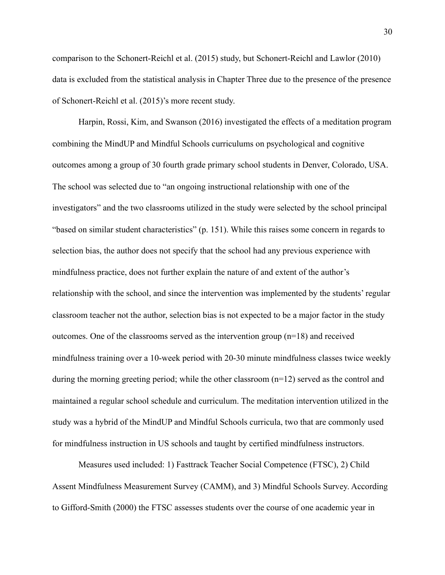comparison to the Schonert-Reichl et al. (2015) study, but Schonert-Reichl and Lawlor (2010) data is excluded from the statistical analysis in Chapter Three due to the presence of the presence of Schonert-Reichl et al. (2015)'s more recent study.

Harpin, Rossi, Kim, and Swanson (2016) investigated the effects of a meditation program combining the MindUP and Mindful Schools curriculums on psychological and cognitive outcomes among a group of 30 fourth grade primary school students in Denver, Colorado, USA. The school was selected due to "an ongoing instructional relationship with one of the investigators" and the two classrooms utilized in the study were selected by the school principal "based on similar student characteristics" (p. 151). While this raises some concern in regards to selection bias, the author does not specify that the school had any previous experience with mindfulness practice, does not further explain the nature of and extent of the author's relationship with the school, and since the intervention was implemented by the students' regular classroom teacher not the author, selection bias is not expected to be a major factor in the study outcomes. One of the classrooms served as the intervention group (n=18) and received mindfulness training over a 10-week period with 20-30 minute mindfulness classes twice weekly during the morning greeting period; while the other classroom (n=12) served as the control and maintained a regular school schedule and curriculum. The meditation intervention utilized in the study was a hybrid of the MindUP and Mindful Schools curricula, two that are commonly used for mindfulness instruction in US schools and taught by certified mindfulness instructors.

 Measures used included: 1) Fasttrack Teacher Social Competence (FTSC), 2) Child Assent Mindfulness Measurement Survey (CAMM), and 3) Mindful Schools Survey. According to Gifford-Smith (2000) the FTSC assesses students over the course of one academic year in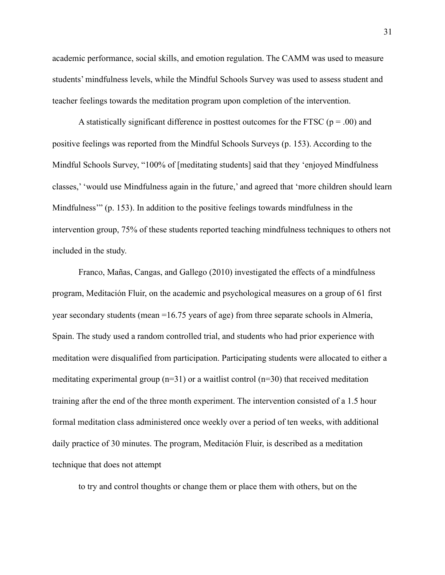academic performance, social skills, and emotion regulation. The CAMM was used to measure students' mindfulness levels, while the Mindful Schools Survey was used to assess student and teacher feelings towards the meditation program upon completion of the intervention.

A statistically significant difference in posttest outcomes for the FTSC ( $p = .00$ ) and positive feelings was reported from the Mindful Schools Surveys (p. 153). According to the Mindful Schools Survey, "100% of [meditating students] said that they 'enjoyed Mindfulness classes,' 'would use Mindfulness again in the future,' and agreed that 'more children should learn Mindfulness'" (p. 153). In addition to the positive feelings towards mindfulness in the intervention group, 75% of these students reported teaching mindfulness techniques to others not included in the study.

Franco, Mañas, Cangas, and Gallego (2010) investigated the effects of a mindfulness program, Meditación Fluir, on the academic and psychological measures on a group of 61 first year secondary students (mean =16.75 years of age) from three separate schools in Almería, Spain. The study used a random controlled trial, and students who had prior experience with meditation were disqualified from participation. Participating students were allocated to either a meditating experimental group ( $n=31$ ) or a waitlist control ( $n=30$ ) that received meditation training after the end of the three month experiment. The intervention consisted of a 1.5 hour formal meditation class administered once weekly over a period of ten weeks, with additional daily practice of 30 minutes. The program, Meditación Fluir, is described as a meditation technique that does not attempt

to try and control thoughts or change them or place them with others, but on the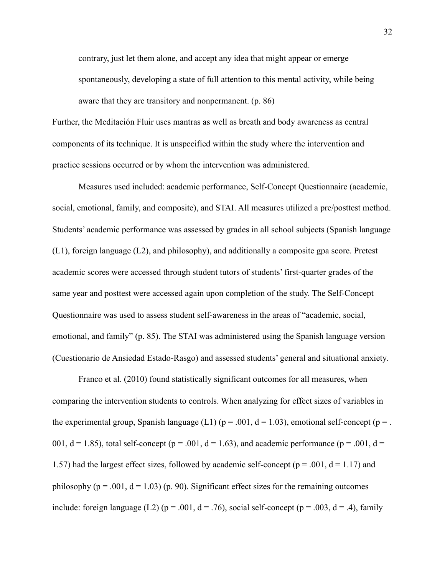contrary, just let them alone, and accept any idea that might appear or emerge spontaneously, developing a state of full attention to this mental activity, while being aware that they are transitory and nonpermanent. (p. 86)

Further, the Meditación Fluir uses mantras as well as breath and body awareness as central components of its technique. It is unspecified within the study where the intervention and practice sessions occurred or by whom the intervention was administered.

 Measures used included: academic performance, Self-Concept Questionnaire (academic, social, emotional, family, and composite), and STAI. All measures utilized a pre/posttest method. Students' academic performance was assessed by grades in all school subjects (Spanish language (L1), foreign language (L2), and philosophy), and additionally a composite gpa score. Pretest academic scores were accessed through student tutors of students' first-quarter grades of the same year and posttest were accessed again upon completion of the study. The Self-Concept Questionnaire was used to assess student self-awareness in the areas of "academic, social, emotional, and family" (p. 85). The STAI was administered using the Spanish language version (Cuestionario de Ansiedad Estado-Rasgo) and assessed students' general and situational anxiety.

 Franco et al. (2010) found statistically significant outcomes for all measures, when comparing the intervention students to controls. When analyzing for effect sizes of variables in the experimental group, Spanish language (L1) ( $p = .001$ ,  $d = 1.03$ ), emotional self-concept ( $p = .$ 001,  $d = 1.85$ ), total self-concept ( $p = .001$ ,  $d = 1.63$ ), and academic performance ( $p = .001$ ,  $d =$ 1.57) had the largest effect sizes, followed by academic self-concept ( $p = .001$ ,  $d = 1.17$ ) and philosophy ( $p = .001$ ,  $d = 1.03$ ) (p. 90). Significant effect sizes for the remaining outcomes include: foreign language (L2) ( $p = .001$ ,  $d = .76$ ), social self-concept ( $p = .003$ ,  $d = .4$ ), family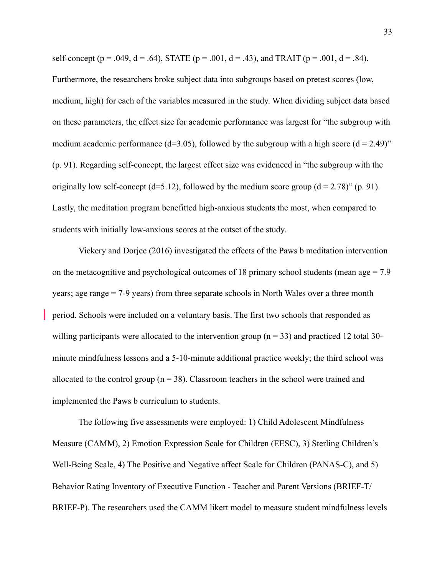self-concept (p = .049, d = .64), STATE (p = .001, d = .43), and TRAIT (p = .001, d = .84).

Furthermore, the researchers broke subject data into subgroups based on pretest scores (low, medium, high) for each of the variables measured in the study. When dividing subject data based on these parameters, the effect size for academic performance was largest for "the subgroup with medium academic performance (d=3.05), followed by the subgroup with a high score (d = 2.49)" (p. 91). Regarding self-concept, the largest effect size was evidenced in "the subgroup with the originally low self-concept (d=5.12), followed by the medium score group (d = 2.78)" (p. 91). Lastly, the meditation program benefitted high-anxious students the most, when compared to students with initially low-anxious scores at the outset of the study.

Vickery and Dorjee (2016) investigated the effects of the Paws b meditation intervention on the metacognitive and psychological outcomes of 18 primary school students (mean age  $= 7.9$ ) years; age range = 7-9 years) from three separate schools in North Wales over a three month period. Schools were included on a voluntary basis. The first two schools that responded as willing participants were allocated to the intervention group ( $n = 33$ ) and practiced 12 total 30minute mindfulness lessons and a 5-10-minute additional practice weekly; the third school was allocated to the control group ( $n = 38$ ). Classroom teachers in the school were trained and implemented the Paws b curriculum to students.

 The following five assessments were employed: 1) Child Adolescent Mindfulness Measure (CAMM), 2) Emotion Expression Scale for Children (EESC), 3) Sterling Children's Well-Being Scale, 4) The Positive and Negative affect Scale for Children (PANAS-C), and 5) Behavior Rating Inventory of Executive Function - Teacher and Parent Versions (BRIEF-T/ BRIEF-P). The researchers used the CAMM likert model to measure student mindfulness levels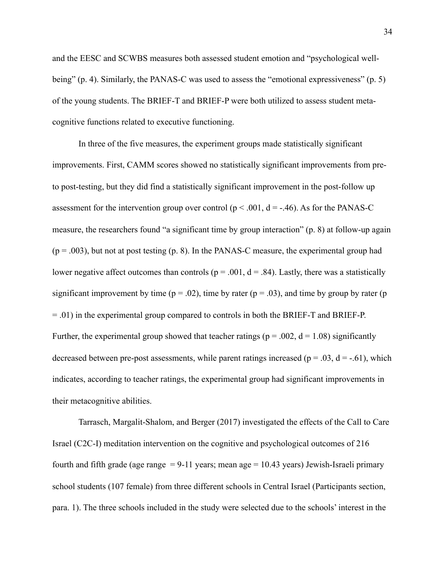and the EESC and SCWBS measures both assessed student emotion and "psychological wellbeing" (p. 4). Similarly, the PANAS-C was used to assess the "emotional expressiveness" (p. 5) of the young students. The BRIEF-T and BRIEF-P were both utilized to assess student metacognitive functions related to executive functioning.

 In three of the five measures, the experiment groups made statistically significant improvements. First, CAMM scores showed no statistically significant improvements from preto post-testing, but they did find a statistically significant improvement in the post-follow up assessment for the intervention group over control ( $p < .001$ ,  $d = -.46$ ). As for the PANAS-C measure, the researchers found "a significant time by group interaction" (p. 8) at follow-up again  $(p = .003)$ , but not at post testing  $(p, 8)$ . In the PANAS-C measure, the experimental group had lower negative affect outcomes than controls ( $p = .001$ ,  $d = .84$ ). Lastly, there was a statistically significant improvement by time ( $p = .02$ ), time by rater ( $p = .03$ ), and time by group by rater ( $p = .02$ ) = .01) in the experimental group compared to controls in both the BRIEF-T and BRIEF-P. Further, the experimental group showed that teacher ratings ( $p = .002$ ,  $d = 1.08$ ) significantly decreased between pre-post assessments, while parent ratings increased ( $p = .03$ ,  $d = -.61$ ), which indicates, according to teacher ratings, the experimental group had significant improvements in their metacognitive abilities.

Tarrasch, Margalit-Shalom, and Berger (2017) investigated the effects of the Call to Care Israel (C2C-I) meditation intervention on the cognitive and psychological outcomes of 216 fourth and fifth grade (age range  $= 9-11$  years; mean age  $= 10.43$  years) Jewish-Israeli primary school students (107 female) from three different schools in Central Israel (Participants section, para. 1). The three schools included in the study were selected due to the schools' interest in the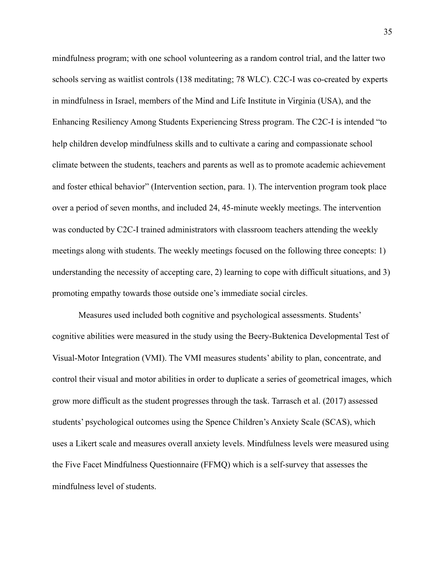mindfulness program; with one school volunteering as a random control trial, and the latter two schools serving as waitlist controls (138 meditating; 78 WLC). C2C-I was co-created by experts in mindfulness in Israel, members of the Mind and Life Institute in Virginia (USA), and the Enhancing Resiliency Among Students Experiencing Stress program. The C2C-I is intended "to help children develop mindfulness skills and to cultivate a caring and compassionate school climate between the students, teachers and parents as well as to promote academic achievement and foster ethical behavior" (Intervention section, para. 1). The intervention program took place over a period of seven months, and included 24, 45-minute weekly meetings. The intervention was conducted by C2C-I trained administrators with classroom teachers attending the weekly meetings along with students. The weekly meetings focused on the following three concepts: 1) understanding the necessity of accepting care, 2) learning to cope with difficult situations, and 3) promoting empathy towards those outside one's immediate social circles.

 Measures used included both cognitive and psychological assessments. Students' cognitive abilities were measured in the study using the Beery-Buktenica Developmental Test of Visual-Motor Integration (VMI). The VMI measures students' ability to plan, concentrate, and control their visual and motor abilities in order to duplicate a series of geometrical images, which grow more difficult as the student progresses through the task. Tarrasch et al. (2017) assessed students' psychological outcomes using the Spence Children's Anxiety Scale (SCAS), which uses a Likert scale and measures overall anxiety levels. Mindfulness levels were measured using the Five Facet Mindfulness Questionnaire (FFMQ) which is a self-survey that assesses the mindfulness level of students.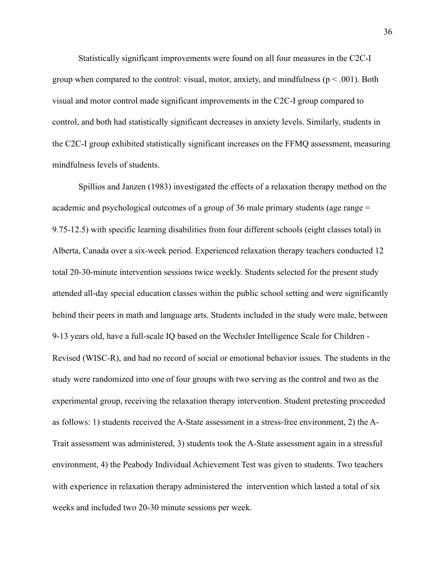Statistically significant improvements were found on all four measures in the C2C-I group when compared to the control: visual, motor, anxiety, and mindfulness ( $p < .001$ ). Both visual and motor control made significant improvements in the C2C-I group compared to control, and both had statistically significant decreases in anxiety levels. Similarly, students in the C2C-I group exhibited statistically significant increases on the FFMQ assessment, measuring mindfulness levels of students.

Spillios and Janzen (1983) investigated the effects of a relaxation therapy method on the academic and psychological outcomes of a group of 36 male primary students (age range = 9.75-12.5) with specific learning disabilities from four different schools (eight classes total) in Alberta, Canada over a six-week period. Experienced relaxation therapy teachers conducted 12 total 20-30-minute intervention sessions twice weekly. Students selected for the present study attended all-day special education classes within the public school setting and were significantly behind their peers in math and language arts. Students included in the study were male, between 9-13 years old, have a full-scale IQ based on the Wechsler Intelligence Scale for Children - Revised (WISC-R), and had no record of social or emotional behavior issues. The students in the study were randomized into one of four groups with two serving as the control and two as the experimental group, receiving the relaxation therapy intervention. Student pretesting proceeded as follows: 1) students received the A-State assessment in a stress-free environment, 2) the A-Trait assessment was administered, 3) students took the A-State assessment again in a stressful environment, 4) the Peabody Individual Achievement Test was given to students. Two teachers with experience in relaxation therapy administered the intervention which lasted a total of six weeks and included two 20-30 minute sessions per week.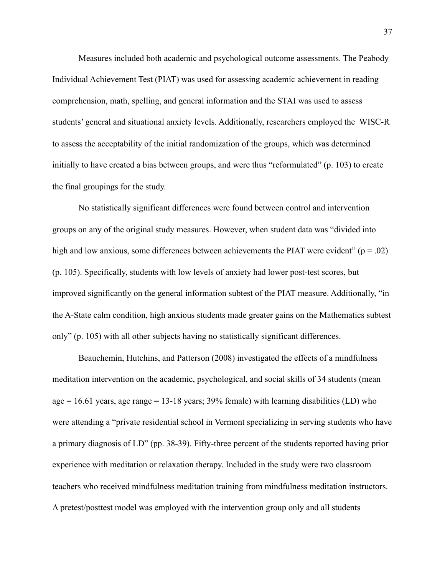Measures included both academic and psychological outcome assessments. The Peabody Individual Achievement Test (PIAT) was used for assessing academic achievement in reading comprehension, math, spelling, and general information and the STAI was used to assess students' general and situational anxiety levels. Additionally, researchers employed the WISC-R to assess the acceptability of the initial randomization of the groups, which was determined initially to have created a bias between groups, and were thus "reformulated" (p. 103) to create the final groupings for the study.

 No statistically significant differences were found between control and intervention groups on any of the original study measures. However, when student data was "divided into high and low anxious, some differences between achievements the PIAT were evident" ( $p = .02$ ) (p. 105). Specifically, students with low levels of anxiety had lower post-test scores, but improved significantly on the general information subtest of the PIAT measure. Additionally, "in the A-State calm condition, high anxious students made greater gains on the Mathematics subtest only" (p. 105) with all other subjects having no statistically significant differences.

 Beauchemin, Hutchins, and Patterson (2008) investigated the effects of a mindfulness meditation intervention on the academic, psychological, and social skills of 34 students (mean age = 16.61 years, age range = 13-18 years;  $39\%$  female) with learning disabilities (LD) who were attending a "private residential school in Vermont specializing in serving students who have a primary diagnosis of LD" (pp. 38-39). Fifty-three percent of the students reported having prior experience with meditation or relaxation therapy. Included in the study were two classroom teachers who received mindfulness meditation training from mindfulness meditation instructors. A pretest/posttest model was employed with the intervention group only and all students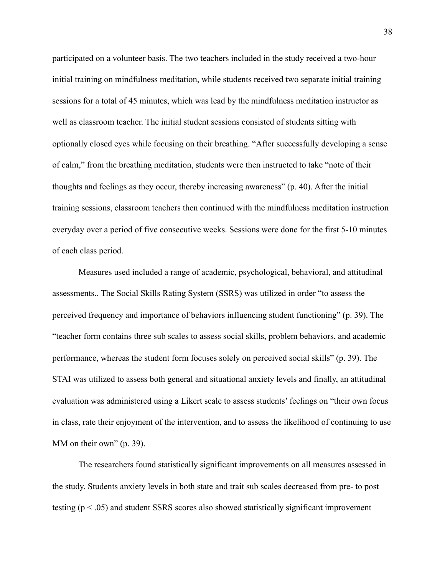participated on a volunteer basis. The two teachers included in the study received a two-hour initial training on mindfulness meditation, while students received two separate initial training sessions for a total of 45 minutes, which was lead by the mindfulness meditation instructor as well as classroom teacher. The initial student sessions consisted of students sitting with optionally closed eyes while focusing on their breathing. "After successfully developing a sense of calm," from the breathing meditation, students were then instructed to take "note of their thoughts and feelings as they occur, thereby increasing awareness" (p. 40). After the initial training sessions, classroom teachers then continued with the mindfulness meditation instruction everyday over a period of five consecutive weeks. Sessions were done for the first 5-10 minutes of each class period.

 Measures used included a range of academic, psychological, behavioral, and attitudinal assessments.. The Social Skills Rating System (SSRS) was utilized in order "to assess the perceived frequency and importance of behaviors influencing student functioning" (p. 39). The "teacher form contains three sub scales to assess social skills, problem behaviors, and academic performance, whereas the student form focuses solely on perceived social skills" (p. 39). The STAI was utilized to assess both general and situational anxiety levels and finally, an attitudinal evaluation was administered using a Likert scale to assess students' feelings on "their own focus in class, rate their enjoyment of the intervention, and to assess the likelihood of continuing to use MM on their own" (p. 39).

 The researchers found statistically significant improvements on all measures assessed in the study. Students anxiety levels in both state and trait sub scales decreased from pre- to post testing (p < .05) and student SSRS scores also showed statistically significant improvement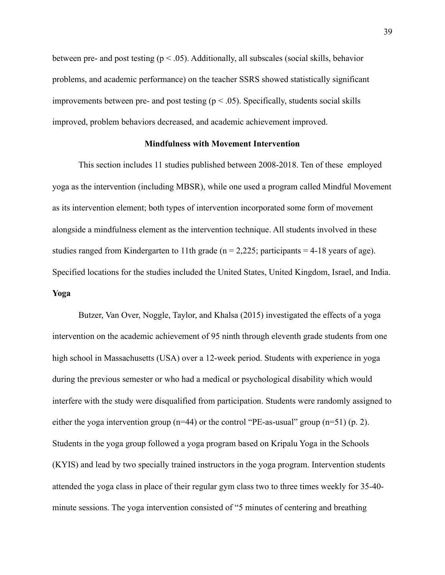between pre- and post testing ( $p < .05$ ). Additionally, all subscales (social skills, behavior problems, and academic performance) on the teacher SSRS showed statistically significant improvements between pre- and post testing ( $p < .05$ ). Specifically, students social skills improved, problem behaviors decreased, and academic achievement improved.

# **Mindfulness with Movement Intervention**

This section includes 11 studies published between 2008-2018. Ten of these employed yoga as the intervention (including MBSR), while one used a program called Mindful Movement as its intervention element; both types of intervention incorporated some form of movement alongside a mindfulness element as the intervention technique. All students involved in these studies ranged from Kindergarten to 11th grade ( $n = 2,225$ ; participants = 4-18 years of age). Specified locations for the studies included the United States, United Kingdom, Israel, and India. **Yoga** 

Butzer, Van Over, Noggle, Taylor, and Khalsa (2015) investigated the effects of a yoga intervention on the academic achievement of 95 ninth through eleventh grade students from one high school in Massachusetts (USA) over a 12-week period. Students with experience in yoga during the previous semester or who had a medical or psychological disability which would interfere with the study were disqualified from participation. Students were randomly assigned to either the yoga intervention group ( $n=44$ ) or the control "PE-as-usual" group ( $n=51$ ) (p. 2). Students in the yoga group followed a yoga program based on Kripalu Yoga in the Schools (KYIS) and lead by two specially trained instructors in the yoga program. Intervention students attended the yoga class in place of their regular gym class two to three times weekly for 35-40 minute sessions. The yoga intervention consisted of "5 minutes of centering and breathing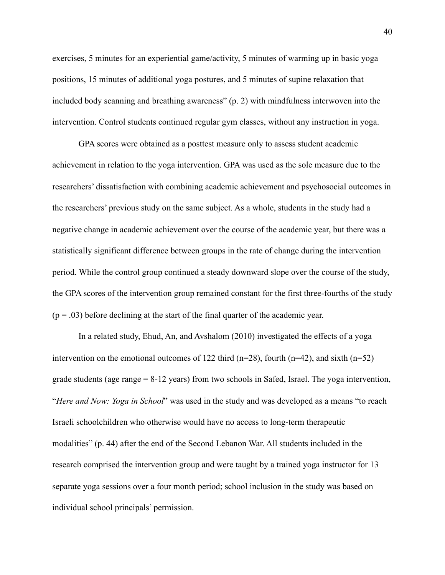exercises, 5 minutes for an experiential game/activity, 5 minutes of warming up in basic yoga positions, 15 minutes of additional yoga postures, and 5 minutes of supine relaxation that included body scanning and breathing awareness" (p. 2) with mindfulness interwoven into the intervention. Control students continued regular gym classes, without any instruction in yoga.

 GPA scores were obtained as a posttest measure only to assess student academic achievement in relation to the yoga intervention. GPA was used as the sole measure due to the researchers' dissatisfaction with combining academic achievement and psychosocial outcomes in the researchers' previous study on the same subject. As a whole, students in the study had a negative change in academic achievement over the course of the academic year, but there was a statistically significant difference between groups in the rate of change during the intervention period. While the control group continued a steady downward slope over the course of the study, the GPA scores of the intervention group remained constant for the first three-fourths of the study  $(p = .03)$  before declining at the start of the final quarter of the academic year.

In a related study, Ehud, An, and Avshalom (2010) investigated the effects of a yoga intervention on the emotional outcomes of 122 third (n=28), fourth (n=42), and sixth (n=52) grade students (age range = 8-12 years) from two schools in Safed, Israel. The yoga intervention, "*Here and Now: Yoga in School*" was used in the study and was developed as a means "to reach Israeli schoolchildren who otherwise would have no access to long-term therapeutic modalities" (p. 44) after the end of the Second Lebanon War. All students included in the research comprised the intervention group and were taught by a trained yoga instructor for 13 separate yoga sessions over a four month period; school inclusion in the study was based on individual school principals' permission.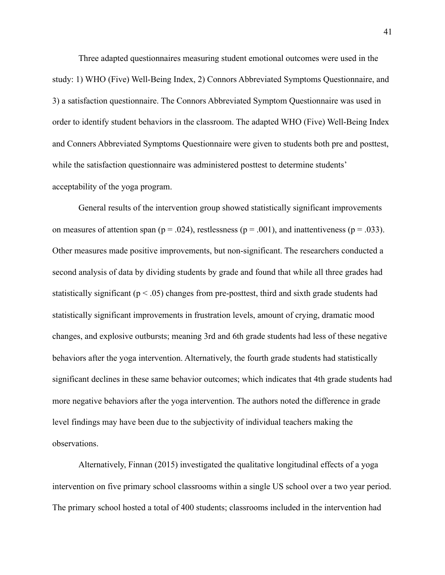Three adapted questionnaires measuring student emotional outcomes were used in the study: 1) WHO (Five) Well-Being Index, 2) Connors Abbreviated Symptoms Questionnaire, and 3) a satisfaction questionnaire. The Connors Abbreviated Symptom Questionnaire was used in order to identify student behaviors in the classroom. The adapted WHO (Five) Well-Being Index and Conners Abbreviated Symptoms Questionnaire were given to students both pre and posttest, while the satisfaction questionnaire was administered posttest to determine students' acceptability of the yoga program.

 General results of the intervention group showed statistically significant improvements on measures of attention span ( $p = .024$ ), restlessness ( $p = .001$ ), and inattentiveness ( $p = .033$ ). Other measures made positive improvements, but non-significant. The researchers conducted a second analysis of data by dividing students by grade and found that while all three grades had statistically significant ( $p < .05$ ) changes from pre-posttest, third and sixth grade students had statistically significant improvements in frustration levels, amount of crying, dramatic mood changes, and explosive outbursts; meaning 3rd and 6th grade students had less of these negative behaviors after the yoga intervention. Alternatively, the fourth grade students had statistically significant declines in these same behavior outcomes; which indicates that 4th grade students had more negative behaviors after the yoga intervention. The authors noted the difference in grade level findings may have been due to the subjectivity of individual teachers making the observations.

Alternatively, Finnan (2015) investigated the qualitative longitudinal effects of a yoga intervention on five primary school classrooms within a single US school over a two year period. The primary school hosted a total of 400 students; classrooms included in the intervention had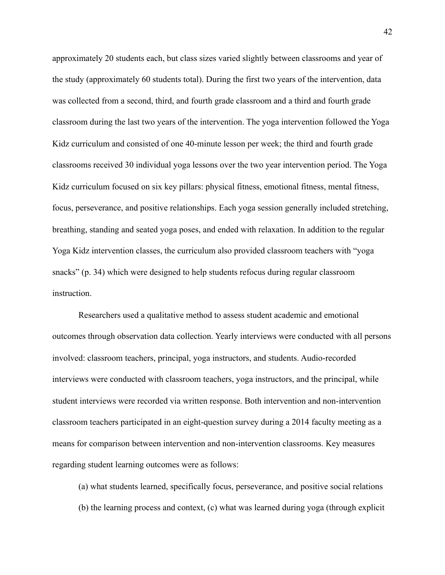approximately 20 students each, but class sizes varied slightly between classrooms and year of the study (approximately 60 students total). During the first two years of the intervention, data was collected from a second, third, and fourth grade classroom and a third and fourth grade classroom during the last two years of the intervention. The yoga intervention followed the Yoga Kidz curriculum and consisted of one 40-minute lesson per week; the third and fourth grade classrooms received 30 individual yoga lessons over the two year intervention period. The Yoga Kidz curriculum focused on six key pillars: physical fitness, emotional fitness, mental fitness, focus, perseverance, and positive relationships. Each yoga session generally included stretching, breathing, standing and seated yoga poses, and ended with relaxation. In addition to the regular Yoga Kidz intervention classes, the curriculum also provided classroom teachers with "yoga snacks" (p. 34) which were designed to help students refocus during regular classroom instruction.

 Researchers used a qualitative method to assess student academic and emotional outcomes through observation data collection. Yearly interviews were conducted with all persons involved: classroom teachers, principal, yoga instructors, and students. Audio-recorded interviews were conducted with classroom teachers, yoga instructors, and the principal, while student interviews were recorded via written response. Both intervention and non-intervention classroom teachers participated in an eight-question survey during a 2014 faculty meeting as a means for comparison between intervention and non-intervention classrooms. Key measures regarding student learning outcomes were as follows:

(a) what students learned, specifically focus, perseverance, and positive social relations (b) the learning process and context, (c) what was learned during yoga (through explicit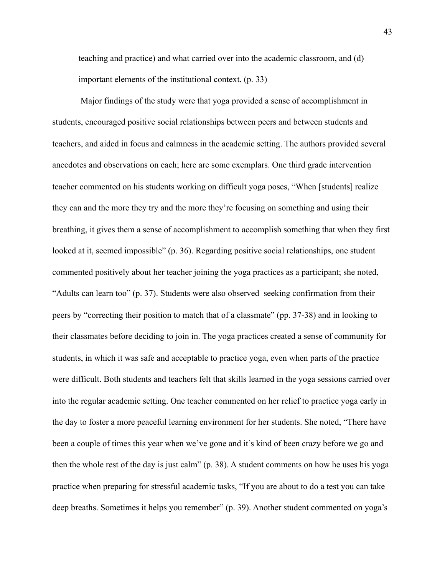teaching and practice) and what carried over into the academic classroom, and (d) important elements of the institutional context. (p. 33)

 Major findings of the study were that yoga provided a sense of accomplishment in students, encouraged positive social relationships between peers and between students and teachers, and aided in focus and calmness in the academic setting. The authors provided several anecdotes and observations on each; here are some exemplars. One third grade intervention teacher commented on his students working on difficult yoga poses, "When [students] realize they can and the more they try and the more they're focusing on something and using their breathing, it gives them a sense of accomplishment to accomplish something that when they first looked at it, seemed impossible" (p. 36). Regarding positive social relationships, one student commented positively about her teacher joining the yoga practices as a participant; she noted, "Adults can learn too" (p. 37). Students were also observed seeking confirmation from their peers by "correcting their position to match that of a classmate" (pp. 37-38) and in looking to their classmates before deciding to join in. The yoga practices created a sense of community for students, in which it was safe and acceptable to practice yoga, even when parts of the practice were difficult. Both students and teachers felt that skills learned in the yoga sessions carried over into the regular academic setting. One teacher commented on her relief to practice yoga early in the day to foster a more peaceful learning environment for her students. She noted, "There have been a couple of times this year when we've gone and it's kind of been crazy before we go and then the whole rest of the day is just calm" (p. 38). A student comments on how he uses his yoga practice when preparing for stressful academic tasks, "If you are about to do a test you can take deep breaths. Sometimes it helps you remember" (p. 39). Another student commented on yoga's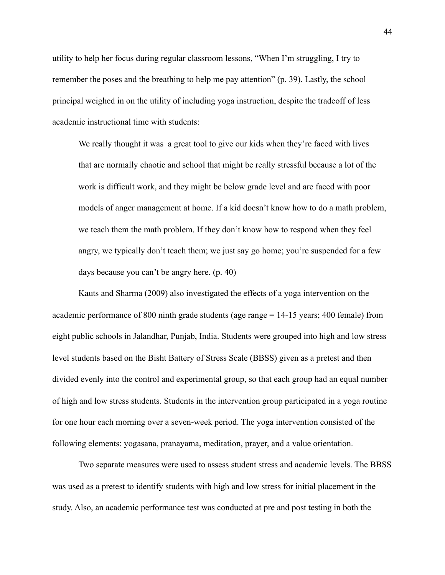utility to help her focus during regular classroom lessons, "When I'm struggling, I try to remember the poses and the breathing to help me pay attention" (p. 39). Lastly, the school principal weighed in on the utility of including yoga instruction, despite the tradeoff of less academic instructional time with students:

We really thought it was a great tool to give our kids when they're faced with lives that are normally chaotic and school that might be really stressful because a lot of the work is difficult work, and they might be below grade level and are faced with poor models of anger management at home. If a kid doesn't know how to do a math problem, we teach them the math problem. If they don't know how to respond when they feel angry, we typically don't teach them; we just say go home; you're suspended for a few days because you can't be angry here. (p. 40)

Kauts and Sharma (2009) also investigated the effects of a yoga intervention on the academic performance of 800 ninth grade students (age range = 14-15 years; 400 female) from eight public schools in Jalandhar, Punjab, India. Students were grouped into high and low stress level students based on the Bisht Battery of Stress Scale (BBSS) given as a pretest and then divided evenly into the control and experimental group, so that each group had an equal number of high and low stress students. Students in the intervention group participated in a yoga routine for one hour each morning over a seven-week period. The yoga intervention consisted of the following elements: yogasana, pranayama, meditation, prayer, and a value orientation.

 Two separate measures were used to assess student stress and academic levels. The BBSS was used as a pretest to identify students with high and low stress for initial placement in the study. Also, an academic performance test was conducted at pre and post testing in both the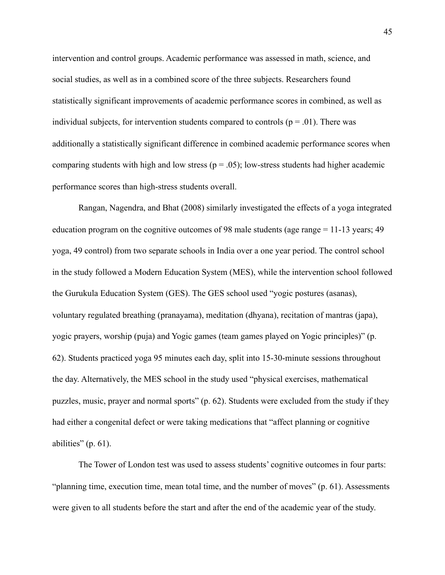intervention and control groups. Academic performance was assessed in math, science, and social studies, as well as in a combined score of the three subjects. Researchers found statistically significant improvements of academic performance scores in combined, as well as individual subjects, for intervention students compared to controls ( $p = .01$ ). There was additionally a statistically significant difference in combined academic performance scores when comparing students with high and low stress ( $p = .05$ ); low-stress students had higher academic performance scores than high-stress students overall.

Rangan, Nagendra, and Bhat (2008) similarly investigated the effects of a yoga integrated education program on the cognitive outcomes of 98 male students (age range = 11-13 years; 49 yoga, 49 control) from two separate schools in India over a one year period. The control school in the study followed a Modern Education System (MES), while the intervention school followed the Gurukula Education System (GES). The GES school used "yogic postures (asanas), voluntary regulated breathing (pranayama), meditation (dhyana), recitation of mantras (japa), yogic prayers, worship (puja) and Yogic games (team games played on Yogic principles)" (p. 62). Students practiced yoga 95 minutes each day, split into 15-30-minute sessions throughout the day. Alternatively, the MES school in the study used "physical exercises, mathematical puzzles, music, prayer and normal sports" (p. 62). Students were excluded from the study if they had either a congenital defect or were taking medications that "affect planning or cognitive abilities" (p. 61).

 The Tower of London test was used to assess students' cognitive outcomes in four parts: "planning time, execution time, mean total time, and the number of moves" (p. 61). Assessments were given to all students before the start and after the end of the academic year of the study.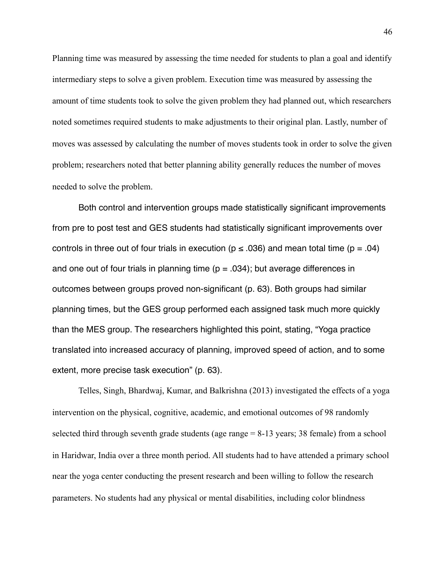Planning time was measured by assessing the time needed for students to plan a goal and identify intermediary steps to solve a given problem. Execution time was measured by assessing the amount of time students took to solve the given problem they had planned out, which researchers noted sometimes required students to make adjustments to their original plan. Lastly, number of moves was assessed by calculating the number of moves students took in order to solve the given problem; researchers noted that better planning ability generally reduces the number of moves needed to solve the problem.

Both control and intervention groups made statistically significant improvements from pre to post test and GES students had statistically significant improvements over controls in three out of four trials in execution ( $p \le 0.036$ ) and mean total time ( $p = 0.04$ ) and one out of four trials in planning time ( $p = .034$ ); but average differences in outcomes between groups proved non-significant (p. 63). Both groups had similar planning times, but the GES group performed each assigned task much more quickly than the MES group. The researchers highlighted this point, stating, "Yoga practice translated into increased accuracy of planning, improved speed of action, and to some extent, more precise task execution" (p. 63).

 Telles, Singh, Bhardwaj, Kumar, and Balkrishna (2013) investigated the effects of a yoga intervention on the physical, cognitive, academic, and emotional outcomes of 98 randomly selected third through seventh grade students (age range = 8-13 years; 38 female) from a school in Haridwar, India over a three month period. All students had to have attended a primary school near the yoga center conducting the present research and been willing to follow the research parameters. No students had any physical or mental disabilities, including color blindness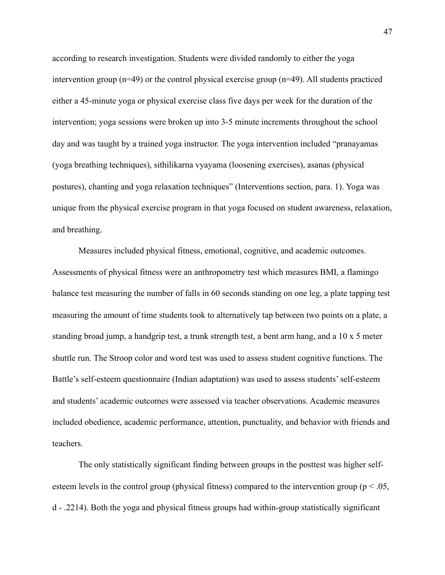according to research investigation. Students were divided randomly to either the yoga intervention group (n=49) or the control physical exercise group (n=49). All students practiced either a 45-minute yoga or physical exercise class five days per week for the duration of the intervention; yoga sessions were broken up into 3-5 minute increments throughout the school day and was taught by a trained yoga instructor. The yoga intervention included "pranayamas (yoga breathing techniques), sithilikarna vyayama (loosening exercises), asanas (physical postures), chanting and yoga relaxation techniques" (Interventions section, para. 1). Yoga was unique from the physical exercise program in that yoga focused on student awareness, relaxation, and breathing.

 Measures included physical fitness, emotional, cognitive, and academic outcomes. Assessments of physical fitness were an anthropometry test which measures BMI, a flamingo balance test measuring the number of falls in 60 seconds standing on one leg, a plate tapping test measuring the amount of time students took to alternatively tap between two points on a plate, a standing broad jump, a handgrip test, a trunk strength test, a bent arm hang, and a 10 x 5 meter shuttle run. The Stroop color and word test was used to assess student cognitive functions. The Battle's self-esteem questionnaire (Indian adaptation) was used to assess students' self-esteem and students' academic outcomes were assessed via teacher observations. Academic measures included obedience, academic performance, attention, punctuality, and behavior with friends and teachers.

 The only statistically significant finding between groups in the posttest was higher selfesteem levels in the control group (physical fitness) compared to the intervention group ( $p < .05$ , d - .2214). Both the yoga and physical fitness groups had within-group statistically significant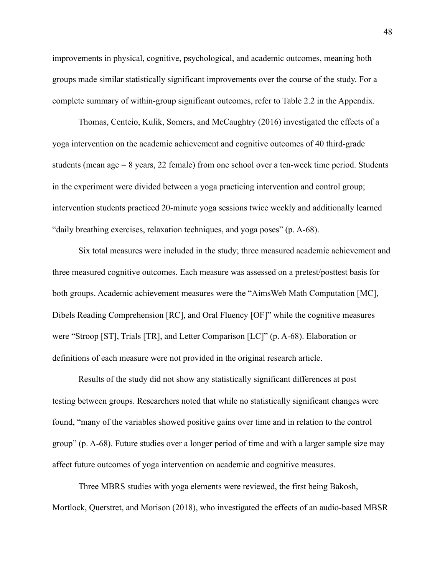improvements in physical, cognitive, psychological, and academic outcomes, meaning both groups made similar statistically significant improvements over the course of the study. For a complete summary of within-group significant outcomes, refer to Table 2.2 in the Appendix.

 Thomas, Centeio, Kulik, Somers, and McCaughtry (2016) investigated the effects of a yoga intervention on the academic achievement and cognitive outcomes of 40 third-grade students (mean age = 8 years, 22 female) from one school over a ten-week time period. Students in the experiment were divided between a yoga practicing intervention and control group; intervention students practiced 20-minute yoga sessions twice weekly and additionally learned "daily breathing exercises, relaxation techniques, and yoga poses" (p. A-68).

 Six total measures were included in the study; three measured academic achievement and three measured cognitive outcomes. Each measure was assessed on a pretest/posttest basis for both groups. Academic achievement measures were the "AimsWeb Math Computation [MC], Dibels Reading Comprehension [RC], and Oral Fluency [OF]" while the cognitive measures were "Stroop [ST], Trials [TR], and Letter Comparison [LC]" (p. A-68). Elaboration or definitions of each measure were not provided in the original research article.

 Results of the study did not show any statistically significant differences at post testing between groups. Researchers noted that while no statistically significant changes were found, "many of the variables showed positive gains over time and in relation to the control group" (p. A-68). Future studies over a longer period of time and with a larger sample size may affect future outcomes of yoga intervention on academic and cognitive measures.

 Three MBRS studies with yoga elements were reviewed, the first being Bakosh, Mortlock, Querstret, and Morison (2018), who investigated the effects of an audio-based MBSR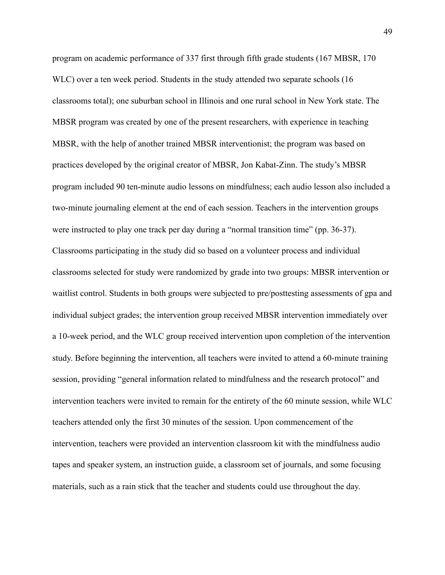program on academic performance of 337 first through fifth grade students (167 MBSR, 170 WLC) over a ten week period. Students in the study attended two separate schools (16 classrooms total); one suburban school in Illinois and one rural school in New York state. The MBSR program was created by one of the present researchers, with experience in teaching MBSR, with the help of another trained MBSR interventionist; the program was based on practices developed by the original creator of MBSR, Jon Kabat-Zinn. The study's MBSR program included 90 ten-minute audio lessons on mindfulness; each audio lesson also included a two-minute journaling element at the end of each session. Teachers in the intervention groups were instructed to play one track per day during a "normal transition time" (pp. 36-37). Classrooms participating in the study did so based on a volunteer process and individual classrooms selected for study were randomized by grade into two groups: MBSR intervention or waitlist control. Students in both groups were subjected to pre/posttesting assessments of gpa and individual subject grades; the intervention group received MBSR intervention immediately over a 10-week period, and the WLC group received intervention upon completion of the intervention study. Before beginning the intervention, all teachers were invited to attend a 60-minute training session, providing "general information related to mindfulness and the research protocol" and intervention teachers were invited to remain for the entirety of the 60 minute session, while WLC teachers attended only the first 30 minutes of the session. Upon commencement of the intervention, teachers were provided an intervention classroom kit with the mindfulness audio tapes and speaker system, an instruction guide, a classroom set of journals, and some focusing materials, such as a rain stick that the teacher and students could use throughout the day.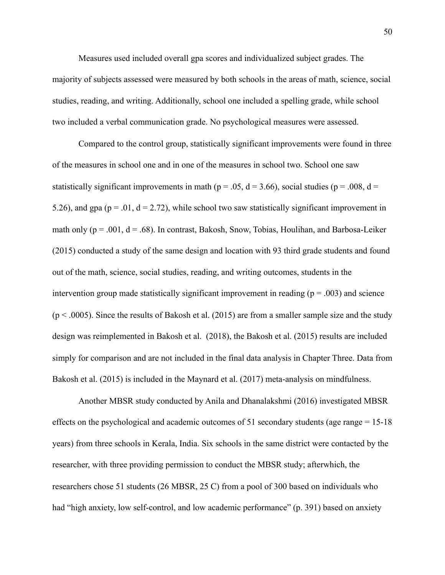Measures used included overall gpa scores and individualized subject grades. The majority of subjects assessed were measured by both schools in the areas of math, science, social studies, reading, and writing. Additionally, school one included a spelling grade, while school two included a verbal communication grade. No psychological measures were assessed.

 Compared to the control group, statistically significant improvements were found in three of the measures in school one and in one of the measures in school two. School one saw statistically significant improvements in math ( $p = .05$ ,  $d = 3.66$ ), social studies ( $p = .008$ ,  $d =$ 5.26), and gpa ( $p = 0.01$ ,  $d = 2.72$ ), while school two saw statistically significant improvement in math only ( $p = .001$ ,  $d = .68$ ). In contrast, Bakosh, Snow, Tobias, Houlihan, and Barbosa-Leiker (2015) conducted a study of the same design and location with 93 third grade students and found out of the math, science, social studies, reading, and writing outcomes, students in the intervention group made statistically significant improvement in reading ( $p = .003$ ) and science  $(p < .0005)$ . Since the results of Bakosh et al. (2015) are from a smaller sample size and the study design was reimplemented in Bakosh et al. (2018), the Bakosh et al. (2015) results are included simply for comparison and are not included in the final data analysis in Chapter Three. Data from Bakosh et al. (2015) is included in the Maynard et al. (2017) meta-analysis on mindfulness.

Another MBSR study conducted by Anila and Dhanalakshmi (2016) investigated MBSR effects on the psychological and academic outcomes of 51 secondary students (age range = 15-18 years) from three schools in Kerala, India. Six schools in the same district were contacted by the researcher, with three providing permission to conduct the MBSR study; afterwhich, the researchers chose 51 students (26 MBSR, 25 C) from a pool of 300 based on individuals who had "high anxiety, low self-control, and low academic performance" (p. 391) based on anxiety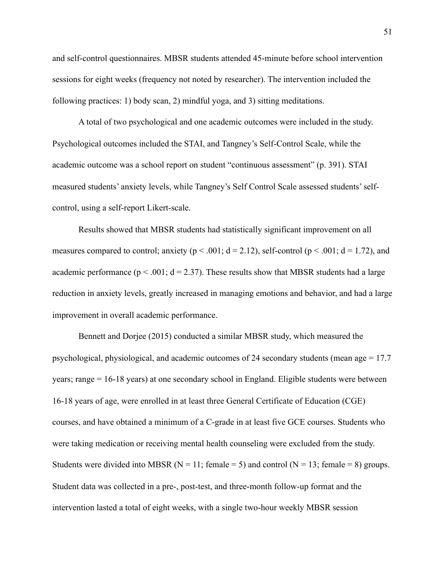and self-control questionnaires. MBSR students attended 45-minute before school intervention sessions for eight weeks (frequency not noted by researcher). The intervention included the following practices: 1) body scan, 2) mindful yoga, and 3) sitting meditations.

A total of two psychological and one academic outcomes were included in the study. Psychological outcomes included the STAI, and Tangney's Self-Control Scale, while the academic outcome was a school report on student "continuous assessment" (p. 391). STAI measured students' anxiety levels, while Tangney's Self Control Scale assessed students' selfcontrol, using a self-report Likert-scale.

Results showed that MBSR students had statistically significant improvement on all measures compared to control; anxiety ( $p < .001$ ;  $d = 2.12$ ), self-control ( $p < .001$ ;  $d = 1.72$ ), and academic performance ( $p < .001$ ;  $d = 2.37$ ). These results show that MBSR students had a large reduction in anxiety levels, greatly increased in managing emotions and behavior, and had a large improvement in overall academic performance.

Bennett and Dorjee (2015) conducted a similar MBSR study, which measured the psychological, physiological, and academic outcomes of 24 secondary students (mean age = 17.7 years; range = 16-18 years) at one secondary school in England. Eligible students were between 16-18 years of age, were enrolled in at least three General Certificate of Education (CGE) courses, and have obtained a minimum of a C-grade in at least five GCE courses. Students who were taking medication or receiving mental health counseling were excluded from the study. Students were divided into MBSR ( $N = 11$ ; female = 5) and control ( $N = 13$ ; female = 8) groups. Student data was collected in a pre-, post-test, and three-month follow-up format and the intervention lasted a total of eight weeks, with a single two-hour weekly MBSR session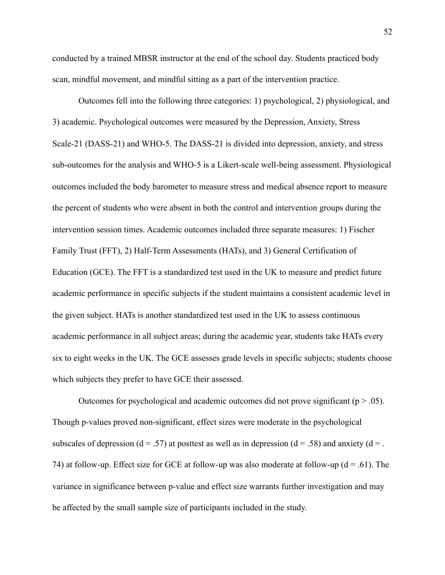conducted by a trained MBSR instructor at the end of the school day. Students practiced body scan, mindful movement, and mindful sitting as a part of the intervention practice.

Outcomes fell into the following three categories: 1) psychological, 2) physiological, and 3) academic. Psychological outcomes were measured by the Depression, Anxiety, Stress Scale-21 (DASS-21) and WHO-5. The DASS-21 is divided into depression, anxiety, and stress sub-outcomes for the analysis and WHO-5 is a Likert-scale well-being assessment. Physiological outcomes included the body barometer to measure stress and medical absence report to measure the percent of students who were absent in both the control and intervention groups during the intervention session times. Academic outcomes included three separate measures: 1) Fischer Family Trust (FFT), 2) Half-Term Assessments (HATs), and 3) General Certification of Education (GCE). The FFT is a standardized test used in the UK to measure and predict future academic performance in specific subjects if the student maintains a consistent academic level in the given subject. HATs is another standardized test used in the UK to assess continuous academic performance in all subject areas; during the academic year, students take HATs every six to eight weeks in the UK. The GCE assesses grade levels in specific subjects; students choose which subjects they prefer to have GCE their assessed.

Outcomes for psychological and academic outcomes did not prove significant ( $p > .05$ ). Though p-values proved non-significant, effect sizes were moderate in the psychological subscales of depression (d = .57) at posttest as well as in depression (d = .58) and anxiety (d = . 74) at follow-up. Effect size for GCE at follow-up was also moderate at follow-up ( $d = .61$ ). The variance in significance between p-value and effect size warrants further investigation and may be affected by the small sample size of participants included in the study.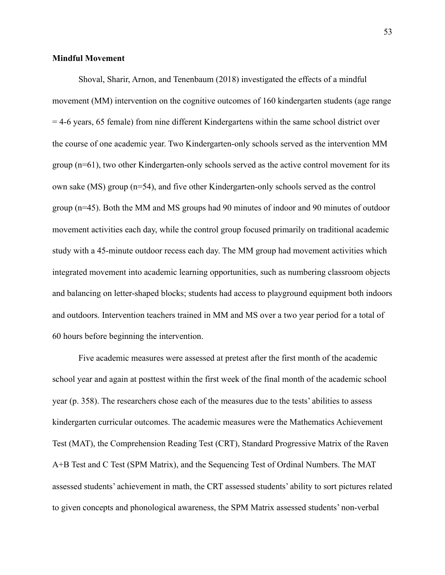## **Mindful Movement**

Shoval, Sharir, Arnon, and Tenenbaum (2018) investigated the effects of a mindful movement (MM) intervention on the cognitive outcomes of 160 kindergarten students (age range = 4-6 years, 65 female) from nine different Kindergartens within the same school district over the course of one academic year. Two Kindergarten-only schools served as the intervention MM group (n=61), two other Kindergarten-only schools served as the active control movement for its own sake (MS) group (n=54), and five other Kindergarten-only schools served as the control group (n=45). Both the MM and MS groups had 90 minutes of indoor and 90 minutes of outdoor movement activities each day, while the control group focused primarily on traditional academic study with a 45-minute outdoor recess each day. The MM group had movement activities which integrated movement into academic learning opportunities, such as numbering classroom objects and balancing on letter-shaped blocks; students had access to playground equipment both indoors and outdoors. Intervention teachers trained in MM and MS over a two year period for a total of 60 hours before beginning the intervention.

 Five academic measures were assessed at pretest after the first month of the academic school year and again at posttest within the first week of the final month of the academic school year (p. 358). The researchers chose each of the measures due to the tests' abilities to assess kindergarten curricular outcomes. The academic measures were the Mathematics Achievement Test (MAT), the Comprehension Reading Test (CRT), Standard Progressive Matrix of the Raven A+B Test and C Test (SPM Matrix), and the Sequencing Test of Ordinal Numbers. The MAT assessed students' achievement in math, the CRT assessed students' ability to sort pictures related to given concepts and phonological awareness, the SPM Matrix assessed students' non-verbal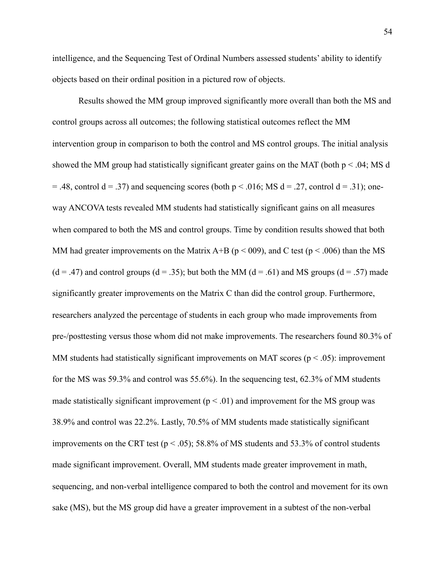intelligence, and the Sequencing Test of Ordinal Numbers assessed students' ability to identify objects based on their ordinal position in a pictured row of objects.

 Results showed the MM group improved significantly more overall than both the MS and control groups across all outcomes; the following statistical outcomes reflect the MM intervention group in comparison to both the control and MS control groups. The initial analysis showed the MM group had statistically significant greater gains on the MAT (both  $p < .04$ ; MS d  $= .48$ , control d  $= .37$ ) and sequencing scores (both p  $\lt$  0.016; MS d  $= .27$ , control d  $= .31$ ); oneway ANCOVA tests revealed MM students had statistically significant gains on all measures when compared to both the MS and control groups. Time by condition results showed that both MM had greater improvements on the Matrix A+B ( $p < 009$ ), and C test ( $p < .006$ ) than the MS  $(d = .47)$  and control groups  $(d = .35)$ ; but both the MM  $(d = .61)$  and MS groups  $(d = .57)$  made significantly greater improvements on the Matrix C than did the control group. Furthermore, researchers analyzed the percentage of students in each group who made improvements from pre-/posttesting versus those whom did not make improvements. The researchers found 80.3% of MM students had statistically significant improvements on MAT scores ( $p < .05$ ): improvement for the MS was 59.3% and control was 55.6%). In the sequencing test, 62.3% of MM students made statistically significant improvement ( $p < .01$ ) and improvement for the MS group was 38.9% and control was 22.2%. Lastly, 70.5% of MM students made statistically significant improvements on the CRT test ( $p < .05$ ); 58.8% of MS students and 53.3% of control students made significant improvement. Overall, MM students made greater improvement in math, sequencing, and non-verbal intelligence compared to both the control and movement for its own sake (MS), but the MS group did have a greater improvement in a subtest of the non-verbal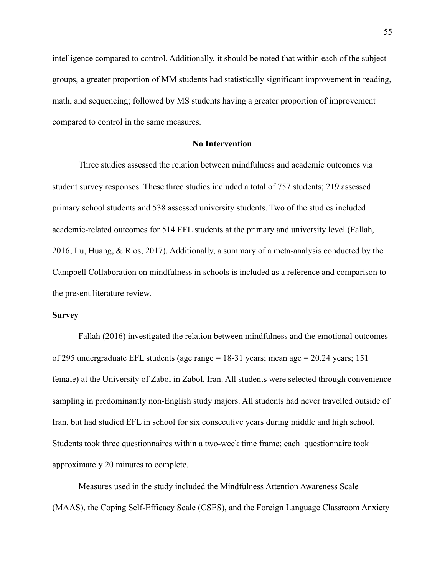intelligence compared to control. Additionally, it should be noted that within each of the subject groups, a greater proportion of MM students had statistically significant improvement in reading, math, and sequencing; followed by MS students having a greater proportion of improvement compared to control in the same measures.

## **No Intervention**

Three studies assessed the relation between mindfulness and academic outcomes via student survey responses. These three studies included a total of 757 students; 219 assessed primary school students and 538 assessed university students. Two of the studies included academic-related outcomes for 514 EFL students at the primary and university level (Fallah, 2016; Lu, Huang, & Rios, 2017). Additionally, a summary of a meta-analysis conducted by the Campbell Collaboration on mindfulness in schools is included as a reference and comparison to the present literature review.

#### **Survey**

Fallah (2016) investigated the relation between mindfulness and the emotional outcomes of 295 undergraduate EFL students (age range = 18-31 years; mean age = 20.24 years; 151 female) at the University of Zabol in Zabol, Iran. All students were selected through convenience sampling in predominantly non-English study majors. All students had never travelled outside of Iran, but had studied EFL in school for six consecutive years during middle and high school. Students took three questionnaires within a two-week time frame; each questionnaire took approximately 20 minutes to complete.

 Measures used in the study included the Mindfulness Attention Awareness Scale (MAAS), the Coping Self-Efficacy Scale (CSES), and the Foreign Language Classroom Anxiety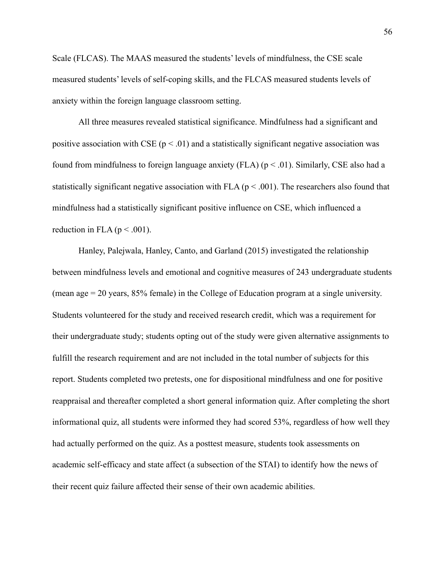Scale (FLCAS). The MAAS measured the students' levels of mindfulness, the CSE scale measured students' levels of self-coping skills, and the FLCAS measured students levels of anxiety within the foreign language classroom setting.

 All three measures revealed statistical significance. Mindfulness had a significant and positive association with CSE ( $p < .01$ ) and a statistically significant negative association was found from mindfulness to foreign language anxiety (FLA) ( $p < .01$ ). Similarly, CSE also had a statistically significant negative association with FLA ( $p < .001$ ). The researchers also found that mindfulness had a statistically significant positive influence on CSE, which influenced a reduction in FLA ( $p < .001$ ).

Hanley, Palejwala, Hanley, Canto, and Garland (2015) investigated the relationship between mindfulness levels and emotional and cognitive measures of 243 undergraduate students (mean age = 20 years, 85% female) in the College of Education program at a single university. Students volunteered for the study and received research credit, which was a requirement for their undergraduate study; students opting out of the study were given alternative assignments to fulfill the research requirement and are not included in the total number of subjects for this report. Students completed two pretests, one for dispositional mindfulness and one for positive reappraisal and thereafter completed a short general information quiz. After completing the short informational quiz, all students were informed they had scored 53%, regardless of how well they had actually performed on the quiz. As a posttest measure, students took assessments on academic self-efficacy and state affect (a subsection of the STAI) to identify how the news of their recent quiz failure affected their sense of their own academic abilities.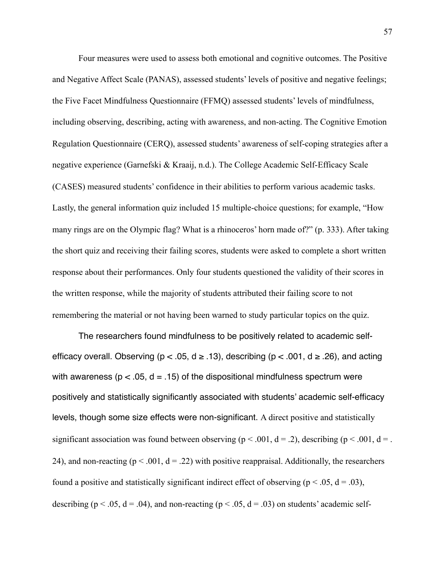Four measures were used to assess both emotional and cognitive outcomes. The Positive and Negative Affect Scale (PANAS), assessed students' levels of positive and negative feelings; the Five Facet Mindfulness Questionnaire (FFMQ) assessed students' levels of mindfulness, including observing, describing, acting with awareness, and non-acting. The Cognitive Emotion Regulation Questionnaire (CERQ), assessed students' awareness of self-coping strategies after a negative experience (Garnefski & Kraaij, n.d.). The College Academic Self-Efficacy Scale (CASES) measured students' confidence in their abilities to perform various academic tasks. Lastly, the general information quiz included 15 multiple-choice questions; for example, "How many rings are on the Olympic flag? What is a rhinoceros' horn made of?" (p. 333). After taking the short quiz and receiving their failing scores, students were asked to complete a short written response about their performances. Only four students questioned the validity of their scores in the written response, while the majority of students attributed their failing score to not remembering the material or not having been warned to study particular topics on the quiz.

The researchers found mindfulness to be positively related to academic selfefficacy overall. Observing ( $p < .05$ ,  $d \ge .13$ ), describing ( $p < .001$ ,  $d \ge .26$ ), and acting with awareness ( $p < 0.05$ ,  $d = 0.15$ ) of the dispositional mindfulness spectrum were positively and statistically significantly associated with students' academic self-efficacy levels, though some size effects were non-significant. A direct positive and statistically significant association was found between observing ( $p < .001$ ,  $d = .2$ ), describing ( $p < .001$ ,  $d = .$ 24), and non-reacting ( $p < .001$ ,  $d = .22$ ) with positive reappraisal. Additionally, the researchers found a positive and statistically significant indirect effect of observing ( $p < .05$ ,  $d = .03$ ), describing ( $p < .05$ ,  $d = .04$ ), and non-reacting ( $p < .05$ ,  $d = .03$ ) on students' academic self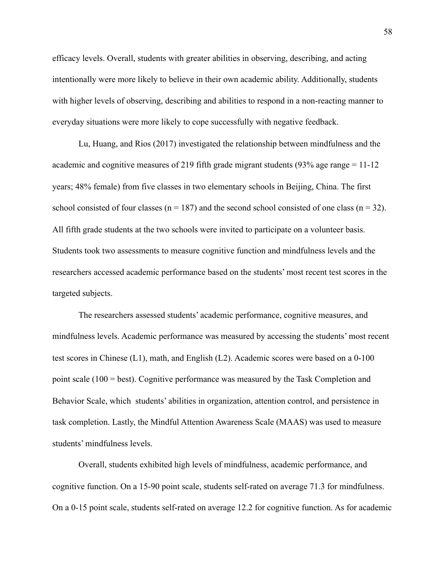efficacy levels. Overall, students with greater abilities in observing, describing, and acting intentionally were more likely to believe in their own academic ability. Additionally, students with higher levels of observing, describing and abilities to respond in a non-reacting manner to everyday situations were more likely to cope successfully with negative feedback.

 Lu, Huang, and Rios (2017) investigated the relationship between mindfulness and the academic and cognitive measures of 219 fifth grade migrant students (93% age range = 11-12 years; 48% female) from five classes in two elementary schools in Beijing, China. The first school consisted of four classes ( $n = 187$ ) and the second school consisted of one class ( $n = 32$ ). All fifth grade students at the two schools were invited to participate on a volunteer basis. Students took two assessments to measure cognitive function and mindfulness levels and the researchers accessed academic performance based on the students' most recent test scores in the targeted subjects.

 The researchers assessed students' academic performance, cognitive measures, and mindfulness levels. Academic performance was measured by accessing the students' most recent test scores in Chinese (L1), math, and English (L2). Academic scores were based on a 0-100 point scale (100 = best). Cognitive performance was measured by the Task Completion and Behavior Scale, which students' abilities in organization, attention control, and persistence in task completion. Lastly, the Mindful Attention Awareness Scale (MAAS) was used to measure students' mindfulness levels.

 Overall, students exhibited high levels of mindfulness, academic performance, and cognitive function. On a 15-90 point scale, students self-rated on average 71.3 for mindfulness. On a 0-15 point scale, students self-rated on average 12.2 for cognitive function. As for academic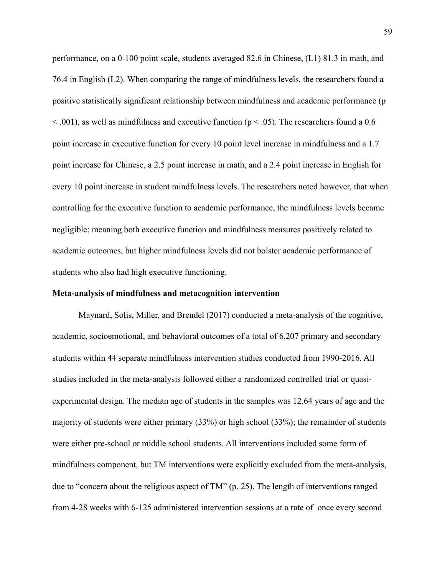performance, on a 0-100 point scale, students averaged 82.6 in Chinese, (L1) 81.3 in math, and 76.4 in English (L2). When comparing the range of mindfulness levels, the researchers found a positive statistically significant relationship between mindfulness and academic performance (p  $\leq$  0.01), as well as mindfulness and executive function ( $p \leq$  0.05). The researchers found a 0.6 point increase in executive function for every 10 point level increase in mindfulness and a 1.7 point increase for Chinese, a 2.5 point increase in math, and a 2.4 point increase in English for every 10 point increase in student mindfulness levels. The researchers noted however, that when controlling for the executive function to academic performance, the mindfulness levels became negligible; meaning both executive function and mindfulness measures positively related to academic outcomes, but higher mindfulness levels did not bolster academic performance of students who also had high executive functioning.

## **Meta-analysis of mindfulness and metacognition intervention**

Maynard, Solis, Miller, and Brendel (2017) conducted a meta-analysis of the cognitive, academic, socioemotional, and behavioral outcomes of a total of 6,207 primary and secondary students within 44 separate mindfulness intervention studies conducted from 1990-2016. All studies included in the meta-analysis followed either a randomized controlled trial or quasiexperimental design. The median age of students in the samples was 12.64 years of age and the majority of students were either primary (33%) or high school (33%); the remainder of students were either pre-school or middle school students. All interventions included some form of mindfulness component, but TM interventions were explicitly excluded from the meta-analysis, due to "concern about the religious aspect of TM" (p. 25). The length of interventions ranged from 4-28 weeks with 6-125 administered intervention sessions at a rate of once every second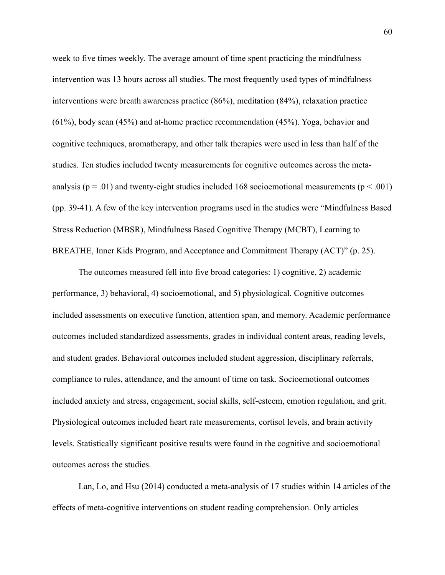week to five times weekly. The average amount of time spent practicing the mindfulness intervention was 13 hours across all studies. The most frequently used types of mindfulness interventions were breath awareness practice (86%), meditation (84%), relaxation practice (61%), body scan (45%) and at-home practice recommendation (45%). Yoga, behavior and cognitive techniques, aromatherapy, and other talk therapies were used in less than half of the studies. Ten studies included twenty measurements for cognitive outcomes across the metaanalysis ( $p = .01$ ) and twenty-eight studies included 168 socioemotional measurements ( $p < .001$ ) (pp. 39-41). A few of the key intervention programs used in the studies were "Mindfulness Based Stress Reduction (MBSR), Mindfulness Based Cognitive Therapy (MCBT), Learning to BREATHE, Inner Kids Program, and Acceptance and Commitment Therapy (ACT)" (p. 25).

 The outcomes measured fell into five broad categories: 1) cognitive, 2) academic performance, 3) behavioral, 4) socioemotional, and 5) physiological. Cognitive outcomes included assessments on executive function, attention span, and memory. Academic performance outcomes included standardized assessments, grades in individual content areas, reading levels, and student grades. Behavioral outcomes included student aggression, disciplinary referrals, compliance to rules, attendance, and the amount of time on task. Socioemotional outcomes included anxiety and stress, engagement, social skills, self-esteem, emotion regulation, and grit. Physiological outcomes included heart rate measurements, cortisol levels, and brain activity levels. Statistically significant positive results were found in the cognitive and socioemotional outcomes across the studies.

 Lan, Lo, and Hsu (2014) conducted a meta-analysis of 17 studies within 14 articles of the effects of meta-cognitive interventions on student reading comprehension. Only articles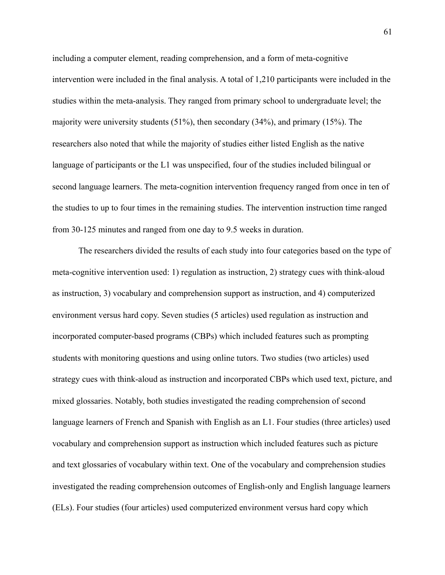including a computer element, reading comprehension, and a form of meta-cognitive intervention were included in the final analysis. A total of 1,210 participants were included in the studies within the meta-analysis. They ranged from primary school to undergraduate level; the majority were university students (51%), then secondary (34%), and primary (15%). The researchers also noted that while the majority of studies either listed English as the native language of participants or the L1 was unspecified, four of the studies included bilingual or second language learners. The meta-cognition intervention frequency ranged from once in ten of the studies to up to four times in the remaining studies. The intervention instruction time ranged from 30-125 minutes and ranged from one day to 9.5 weeks in duration.

 The researchers divided the results of each study into four categories based on the type of meta-cognitive intervention used: 1) regulation as instruction, 2) strategy cues with think-aloud as instruction, 3) vocabulary and comprehension support as instruction, and 4) computerized environment versus hard copy. Seven studies (5 articles) used regulation as instruction and incorporated computer-based programs (CBPs) which included features such as prompting students with monitoring questions and using online tutors. Two studies (two articles) used strategy cues with think-aloud as instruction and incorporated CBPs which used text, picture, and mixed glossaries. Notably, both studies investigated the reading comprehension of second language learners of French and Spanish with English as an L1. Four studies (three articles) used vocabulary and comprehension support as instruction which included features such as picture and text glossaries of vocabulary within text. One of the vocabulary and comprehension studies investigated the reading comprehension outcomes of English-only and English language learners (ELs). Four studies (four articles) used computerized environment versus hard copy which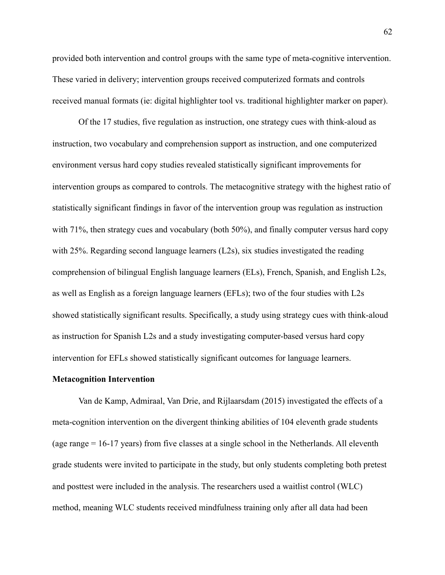provided both intervention and control groups with the same type of meta-cognitive intervention. These varied in delivery; intervention groups received computerized formats and controls received manual formats (ie: digital highlighter tool vs. traditional highlighter marker on paper).

 Of the 17 studies, five regulation as instruction, one strategy cues with think-aloud as instruction, two vocabulary and comprehension support as instruction, and one computerized environment versus hard copy studies revealed statistically significant improvements for intervention groups as compared to controls. The metacognitive strategy with the highest ratio of statistically significant findings in favor of the intervention group was regulation as instruction with 71%, then strategy cues and vocabulary (both 50%), and finally computer versus hard copy with 25%. Regarding second language learners (L2s), six studies investigated the reading comprehension of bilingual English language learners (ELs), French, Spanish, and English L2s, as well as English as a foreign language learners (EFLs); two of the four studies with L2s showed statistically significant results. Specifically, a study using strategy cues with think-aloud as instruction for Spanish L2s and a study investigating computer-based versus hard copy intervention for EFLs showed statistically significant outcomes for language learners.

#### **Metacognition Intervention**

Van de Kamp, Admiraal, Van Drie, and Rijlaarsdam (2015) investigated the effects of a meta-cognition intervention on the divergent thinking abilities of 104 eleventh grade students (age range = 16-17 years) from five classes at a single school in the Netherlands. All eleventh grade students were invited to participate in the study, but only students completing both pretest and posttest were included in the analysis. The researchers used a waitlist control (WLC) method, meaning WLC students received mindfulness training only after all data had been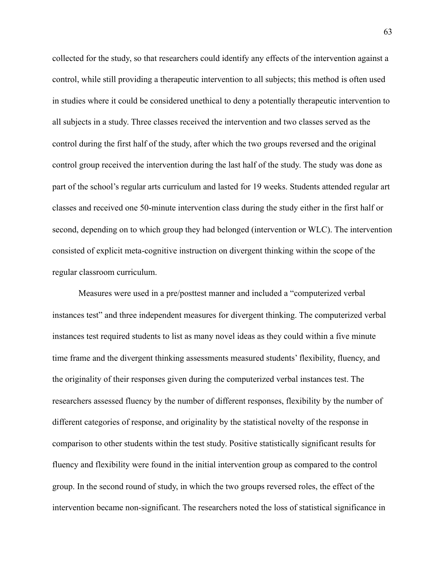collected for the study, so that researchers could identify any effects of the intervention against a control, while still providing a therapeutic intervention to all subjects; this method is often used in studies where it could be considered unethical to deny a potentially therapeutic intervention to all subjects in a study. Three classes received the intervention and two classes served as the control during the first half of the study, after which the two groups reversed and the original control group received the intervention during the last half of the study. The study was done as part of the school's regular arts curriculum and lasted for 19 weeks. Students attended regular art classes and received one 50-minute intervention class during the study either in the first half or second, depending on to which group they had belonged (intervention or WLC). The intervention consisted of explicit meta-cognitive instruction on divergent thinking within the scope of the regular classroom curriculum.

 Measures were used in a pre/posttest manner and included a "computerized verbal instances test" and three independent measures for divergent thinking. The computerized verbal instances test required students to list as many novel ideas as they could within a five minute time frame and the divergent thinking assessments measured students' flexibility, fluency, and the originality of their responses given during the computerized verbal instances test. The researchers assessed fluency by the number of different responses, flexibility by the number of different categories of response, and originality by the statistical novelty of the response in comparison to other students within the test study. Positive statistically significant results for fluency and flexibility were found in the initial intervention group as compared to the control group. In the second round of study, in which the two groups reversed roles, the effect of the intervention became non-significant. The researchers noted the loss of statistical significance in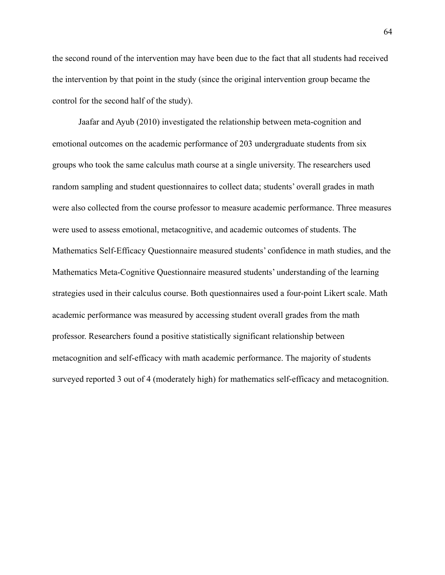the second round of the intervention may have been due to the fact that all students had received the intervention by that point in the study (since the original intervention group became the control for the second half of the study).

 Jaafar and Ayub (2010) investigated the relationship between meta-cognition and emotional outcomes on the academic performance of 203 undergraduate students from six groups who took the same calculus math course at a single university. The researchers used random sampling and student questionnaires to collect data; students' overall grades in math were also collected from the course professor to measure academic performance. Three measures were used to assess emotional, metacognitive, and academic outcomes of students. The Mathematics Self-Efficacy Questionnaire measured students' confidence in math studies, and the Mathematics Meta-Cognitive Questionnaire measured students' understanding of the learning strategies used in their calculus course. Both questionnaires used a four-point Likert scale. Math academic performance was measured by accessing student overall grades from the math professor. Researchers found a positive statistically significant relationship between metacognition and self-efficacy with math academic performance. The majority of students surveyed reported 3 out of 4 (moderately high) for mathematics self-efficacy and metacognition.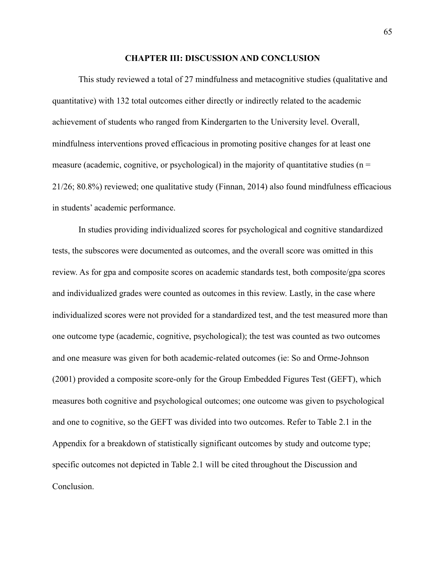#### **CHAPTER III: DISCUSSION AND CONCLUSION**

This study reviewed a total of 27 mindfulness and metacognitive studies (qualitative and quantitative) with 132 total outcomes either directly or indirectly related to the academic achievement of students who ranged from Kindergarten to the University level. Overall, mindfulness interventions proved efficacious in promoting positive changes for at least one measure (academic, cognitive, or psychological) in the majority of quantitative studies ( $n =$ 21/26; 80.8%) reviewed; one qualitative study (Finnan, 2014) also found mindfulness efficacious in students' academic performance.

 In studies providing individualized scores for psychological and cognitive standardized tests, the subscores were documented as outcomes, and the overall score was omitted in this review. As for gpa and composite scores on academic standards test, both composite/gpa scores and individualized grades were counted as outcomes in this review. Lastly, in the case where individualized scores were not provided for a standardized test, and the test measured more than one outcome type (academic, cognitive, psychological); the test was counted as two outcomes and one measure was given for both academic-related outcomes (ie: So and Orme-Johnson (2001) provided a composite score-only for the Group Embedded Figures Test (GEFT), which measures both cognitive and psychological outcomes; one outcome was given to psychological and one to cognitive, so the GEFT was divided into two outcomes. Refer to Table 2.1 in the Appendix for a breakdown of statistically significant outcomes by study and outcome type; specific outcomes not depicted in Table 2.1 will be cited throughout the Discussion and Conclusion.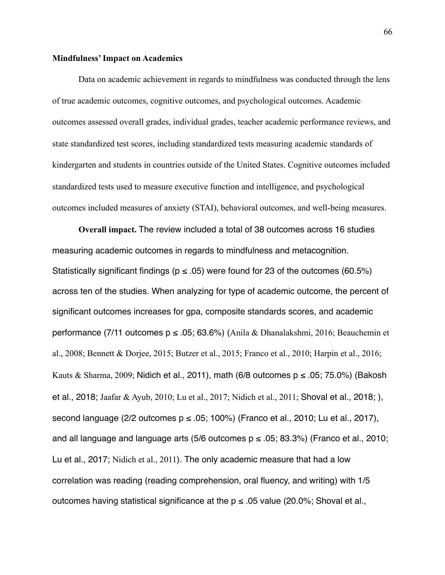### **Mindfulness' Impact on Academics**

Data on academic achievement in regards to mindfulness was conducted through the lens of true academic outcomes, cognitive outcomes, and psychological outcomes. Academic outcomes assessed overall grades, individual grades, teacher academic performance reviews, and state standardized test scores, including standardized tests measuring academic standards of kindergarten and students in countries outside of the United States. Cognitive outcomes included standardized tests used to measure executive function and intelligence, and psychological outcomes included measures of anxiety (STAI), behavioral outcomes, and well-being measures.

**Overall impact.** The review included a total of 38 outcomes across 16 studies measuring academic outcomes in regards to mindfulness and metacognition. Statistically significant findings ( $p \le .05$ ) were found for 23 of the outcomes (60.5%) across ten of the studies. When analyzing for type of academic outcome, the percent of significant outcomes increases for gpa, composite standards scores, and academic performance (7/11 outcomes  $p \le 0.05$ ; 63.6%) (Anila & Dhanalakshmi, 2016; Beauchemin et al., 2008; Bennett & Dorjee, 2015; Butzer et al., 2015; Franco et al., 2010; Harpin et al., 2016; Kauts & Sharma, 2009; Nidich et al., 2011), math (6/8 outcomes  $p \le 0.05$ ; 75.0%) (Bakosh et al., 2018; Jaafar & Ayub, 2010; Lu et al., 2017; Nidich et al., 2011; Shoval et al., 2018; ), second language (2/2 outcomes  $p \le 0.05$ ; 100%) (Franco et al., 2010; Lu et al., 2017), and all language and language arts (5/6 outcomes  $p \le .05$ ; 83.3%) (Franco et al., 2010; Lu et al., 2017; Nidich et al., 2011). The only academic measure that had a low correlation was reading (reading comprehension, oral fluency, and writing) with 1/5 outcomes having statistical significance at the  $p \le 0.05$  value (20.0%; Shoval et al.,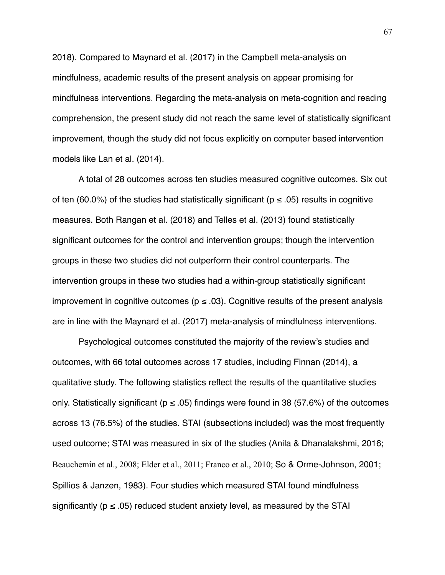2018). Compared to Maynard et al. (2017) in the Campbell meta-analysis on mindfulness, academic results of the present analysis on appear promising for mindfulness interventions. Regarding the meta-analysis on meta-cognition and reading comprehension, the present study did not reach the same level of statistically significant improvement, though the study did not focus explicitly on computer based intervention models like Lan et al. (2014).

A total of 28 outcomes across ten studies measured cognitive outcomes. Six out of ten (60.0%) of the studies had statistically significant ( $p \le 0.05$ ) results in cognitive measures. Both Rangan et al. (2018) and Telles et al. (2013) found statistically significant outcomes for the control and intervention groups; though the intervention groups in these two studies did not outperform their control counterparts. The intervention groups in these two studies had a within-group statistically significant improvement in cognitive outcomes ( $p \le 0.03$ ). Cognitive results of the present analysis are in line with the Maynard et al. (2017) meta-analysis of mindfulness interventions.

Psychological outcomes constituted the majority of the review's studies and outcomes, with 66 total outcomes across 17 studies, including Finnan (2014), a qualitative study. The following statistics reflect the results of the quantitative studies only. Statistically significant ( $p \le .05$ ) findings were found in 38 (57.6%) of the outcomes across 13 (76.5%) of the studies. STAI (subsections included) was the most frequently used outcome; STAI was measured in six of the studies (Anila & Dhanalakshmi, 2016; Beauchemin et al., 2008; Elder et al., 2011; Franco et al., 2010; So & Orme-Johnson, 2001; Spillios & Janzen, 1983). Four studies which measured STAI found mindfulness significantly ( $p \le 0.05$ ) reduced student anxiety level, as measured by the STAI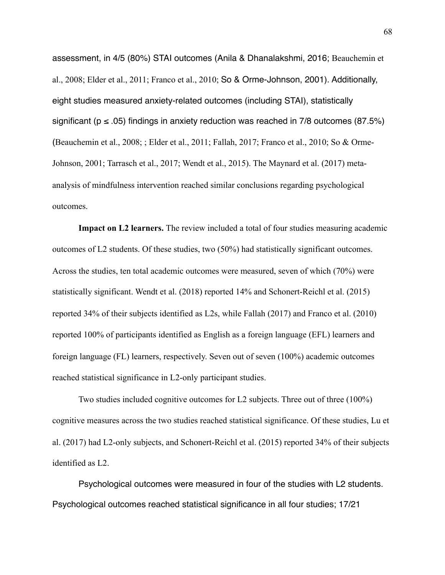assessment, in 4/5 (80%) STAI outcomes (Anila & Dhanalakshmi, 2016; Beauchemin et al., 2008; Elder et al., 2011; Franco et al., 2010; So & Orme-Johnson, 2001). Additionally, eight studies measured anxiety-related outcomes (including STAI), statistically significant ( $p \le 0.05$ ) findings in anxiety reduction was reached in 7/8 outcomes (87.5%) (Beauchemin et al., 2008; ; Elder et al., 2011; Fallah, 2017; Franco et al., 2010; So & Orme-Johnson, 2001; Tarrasch et al., 2017; Wendt et al., 2015). The Maynard et al. (2017) metaanalysis of mindfulness intervention reached similar conclusions regarding psychological outcomes.

**Impact on L2 learners.** The review included a total of four studies measuring academic outcomes of L2 students. Of these studies, two (50%) had statistically significant outcomes. Across the studies, ten total academic outcomes were measured, seven of which (70%) were statistically significant. Wendt et al. (2018) reported 14% and Schonert-Reichl et al. (2015) reported 34% of their subjects identified as L2s, while Fallah (2017) and Franco et al. (2010) reported 100% of participants identified as English as a foreign language (EFL) learners and foreign language (FL) learners, respectively. Seven out of seven (100%) academic outcomes reached statistical significance in L2-only participant studies.

 Two studies included cognitive outcomes for L2 subjects. Three out of three (100%) cognitive measures across the two studies reached statistical significance. Of these studies, Lu et al. (2017) had L2-only subjects, and Schonert-Reichl et al. (2015) reported 34% of their subjects identified as L2.

Psychological outcomes were measured in four of the studies with L2 students. Psychological outcomes reached statistical significance in all four studies; 17/21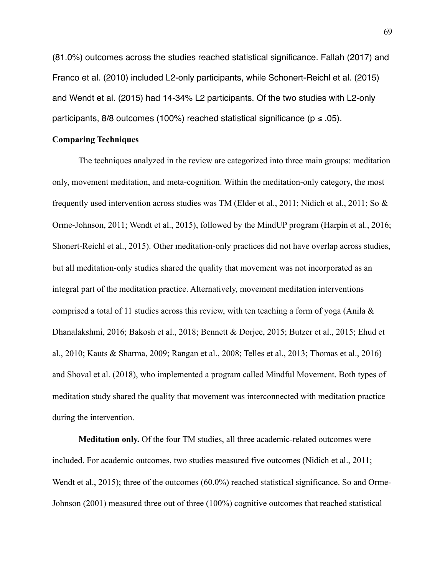(81.0%) outcomes across the studies reached statistical significance. Fallah (2017) and Franco et al. (2010) included L2-only participants, while Schonert-Reichl et al. (2015) and Wendt et al. (2015) had 14-34% L2 participants. Of the two studies with L2-only participants, 8/8 outcomes (100%) reached statistical significance ( $p \le 0.05$ ).

## **Comparing Techniques**

The techniques analyzed in the review are categorized into three main groups: meditation only, movement meditation, and meta-cognition. Within the meditation-only category, the most frequently used intervention across studies was TM (Elder et al., 2011; Nidich et al., 2011; So & Orme-Johnson, 2011; Wendt et al., 2015), followed by the MindUP program (Harpin et al., 2016; Shonert-Reichl et al., 2015). Other meditation-only practices did not have overlap across studies, but all meditation-only studies shared the quality that movement was not incorporated as an integral part of the meditation practice. Alternatively, movement meditation interventions comprised a total of 11 studies across this review, with ten teaching a form of yoga (Anila  $\&$ Dhanalakshmi, 2016; Bakosh et al., 2018; Bennett & Dorjee, 2015; Butzer et al., 2015; Ehud et al., 2010; Kauts & Sharma, 2009; Rangan et al., 2008; Telles et al., 2013; Thomas et al., 2016) and Shoval et al. (2018), who implemented a program called Mindful Movement. Both types of meditation study shared the quality that movement was interconnected with meditation practice during the intervention.

**Meditation only.** Of the four TM studies, all three academic-related outcomes were included. For academic outcomes, two studies measured five outcomes (Nidich et al., 2011; Wendt et al., 2015); three of the outcomes (60.0%) reached statistical significance. So and Orme-Johnson (2001) measured three out of three (100%) cognitive outcomes that reached statistical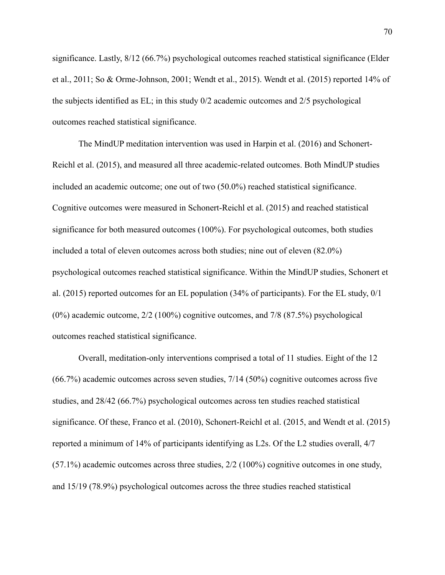significance. Lastly, 8/12 (66.7%) psychological outcomes reached statistical significance (Elder et al., 2011; So & Orme-Johnson, 2001; Wendt et al., 2015). Wendt et al. (2015) reported 14% of the subjects identified as EL; in this study 0/2 academic outcomes and 2/5 psychological outcomes reached statistical significance.

The MindUP meditation intervention was used in Harpin et al. (2016) and Schonert-Reichl et al. (2015), and measured all three academic-related outcomes. Both MindUP studies included an academic outcome; one out of two (50.0%) reached statistical significance. Cognitive outcomes were measured in Schonert-Reichl et al. (2015) and reached statistical significance for both measured outcomes (100%). For psychological outcomes, both studies included a total of eleven outcomes across both studies; nine out of eleven (82.0%) psychological outcomes reached statistical significance. Within the MindUP studies, Schonert et al. (2015) reported outcomes for an EL population (34% of participants). For the EL study, 0/1 (0%) academic outcome, 2/2 (100%) cognitive outcomes, and 7/8 (87.5%) psychological outcomes reached statistical significance.

Overall, meditation-only interventions comprised a total of 11 studies. Eight of the 12 (66.7%) academic outcomes across seven studies, 7/14 (50%) cognitive outcomes across five studies, and 28/42 (66.7%) psychological outcomes across ten studies reached statistical significance. Of these, Franco et al. (2010), Schonert-Reichl et al. (2015, and Wendt et al. (2015) reported a minimum of 14% of participants identifying as L2s. Of the L2 studies overall, 4/7 (57.1%) academic outcomes across three studies, 2/2 (100%) cognitive outcomes in one study, and 15/19 (78.9%) psychological outcomes across the three studies reached statistical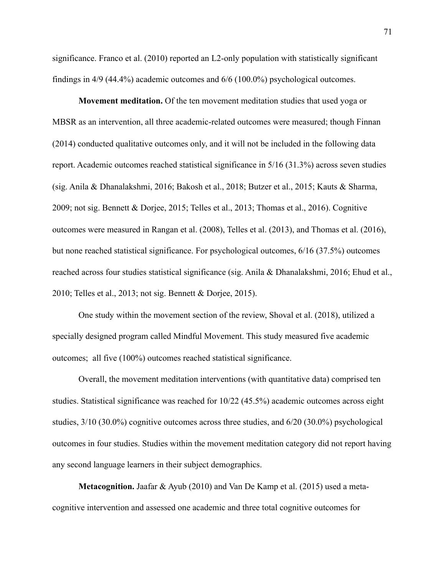significance. Franco et al. (2010) reported an L2-only population with statistically significant findings in 4/9 (44.4%) academic outcomes and 6/6 (100.0%) psychological outcomes.

**Movement meditation.** Of the ten movement meditation studies that used yoga or MBSR as an intervention, all three academic-related outcomes were measured; though Finnan (2014) conducted qualitative outcomes only, and it will not be included in the following data report. Academic outcomes reached statistical significance in 5/16 (31.3%) across seven studies (sig. Anila & Dhanalakshmi, 2016; Bakosh et al., 2018; Butzer et al., 2015; Kauts & Sharma, 2009; not sig. Bennett & Dorjee, 2015; Telles et al., 2013; Thomas et al., 2016). Cognitive outcomes were measured in Rangan et al. (2008), Telles et al. (2013), and Thomas et al. (2016), but none reached statistical significance. For psychological outcomes, 6/16 (37.5%) outcomes reached across four studies statistical significance (sig. Anila & Dhanalakshmi, 2016; Ehud et al., 2010; Telles et al., 2013; not sig. Bennett & Dorjee, 2015).

One study within the movement section of the review, Shoval et al. (2018), utilized a specially designed program called Mindful Movement. This study measured five academic outcomes; all five (100%) outcomes reached statistical significance.

Overall, the movement meditation interventions (with quantitative data) comprised ten studies. Statistical significance was reached for 10/22 (45.5%) academic outcomes across eight studies, 3/10 (30.0%) cognitive outcomes across three studies, and 6/20 (30.0%) psychological outcomes in four studies. Studies within the movement meditation category did not report having any second language learners in their subject demographics.

**Metacognition.** Jaafar & Ayub (2010) and Van De Kamp et al. (2015) used a metacognitive intervention and assessed one academic and three total cognitive outcomes for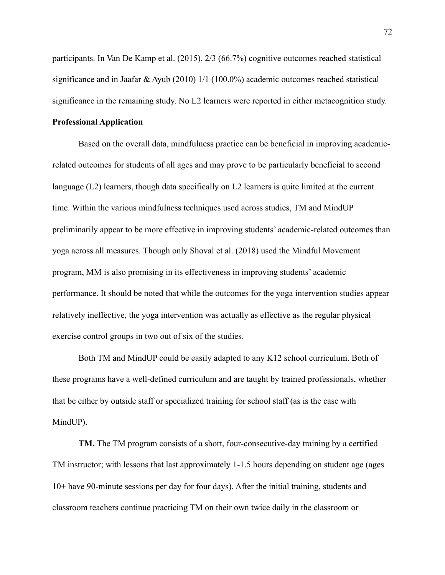participants. In Van De Kamp et al. (2015), 2/3 (66.7%) cognitive outcomes reached statistical significance and in Jaafar & Ayub (2010) 1/1 (100.0%) academic outcomes reached statistical significance in the remaining study. No L2 learners were reported in either metacognition study.

# **Professional Application**

Based on the overall data, mindfulness practice can be beneficial in improving academicrelated outcomes for students of all ages and may prove to be particularly beneficial to second language (L2) learners, though data specifically on L2 learners is quite limited at the current time. Within the various mindfulness techniques used across studies, TM and MindUP preliminarily appear to be more effective in improving students' academic-related outcomes than yoga across all measures. Though only Shoval et al. (2018) used the Mindful Movement program, MM is also promising in its effectiveness in improving students' academic performance. It should be noted that while the outcomes for the yoga intervention studies appear relatively ineffective, the yoga intervention was actually as effective as the regular physical exercise control groups in two out of six of the studies.

Both TM and MindUP could be easily adapted to any K12 school curriculum. Both of these programs have a well-defined curriculum and are taught by trained professionals, whether that be either by outside staff or specialized training for school staff (as is the case with MindUP).

**TM.** The TM program consists of a short, four-consecutive-day training by a certified TM instructor; with lessons that last approximately 1-1.5 hours depending on student age (ages 10+ have 90-minute sessions per day for four days). After the initial training, students and classroom teachers continue practicing TM on their own twice daily in the classroom or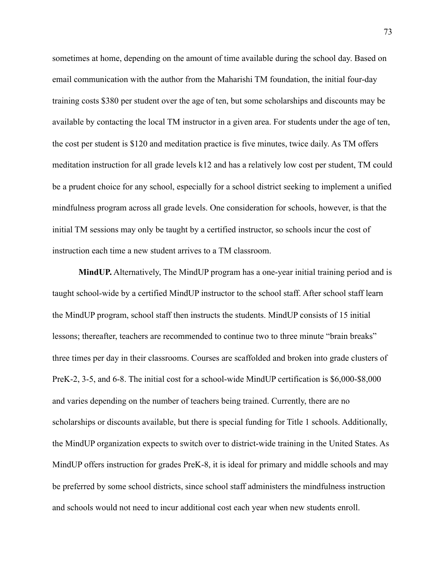sometimes at home, depending on the amount of time available during the school day. Based on email communication with the author from the Maharishi TM foundation, the initial four-day training costs \$380 per student over the age of ten, but some scholarships and discounts may be available by contacting the local TM instructor in a given area. For students under the age of ten, the cost per student is \$120 and meditation practice is five minutes, twice daily. As TM offers meditation instruction for all grade levels k12 and has a relatively low cost per student, TM could be a prudent choice for any school, especially for a school district seeking to implement a unified mindfulness program across all grade levels. One consideration for schools, however, is that the initial TM sessions may only be taught by a certified instructor, so schools incur the cost of instruction each time a new student arrives to a TM classroom.

**MindUP.** Alternatively, The MindUP program has a one-year initial training period and is taught school-wide by a certified MindUP instructor to the school staff. After school staff learn the MindUP program, school staff then instructs the students. MindUP consists of 15 initial lessons; thereafter, teachers are recommended to continue two to three minute "brain breaks" three times per day in their classrooms. Courses are scaffolded and broken into grade clusters of PreK-2, 3-5, and 6-8. The initial cost for a school-wide MindUP certification is \$6,000-\$8,000 and varies depending on the number of teachers being trained. Currently, there are no scholarships or discounts available, but there is special funding for Title 1 schools. Additionally, the MindUP organization expects to switch over to district-wide training in the United States. As MindUP offers instruction for grades PreK-8, it is ideal for primary and middle schools and may be preferred by some school districts, since school staff administers the mindfulness instruction and schools would not need to incur additional cost each year when new students enroll.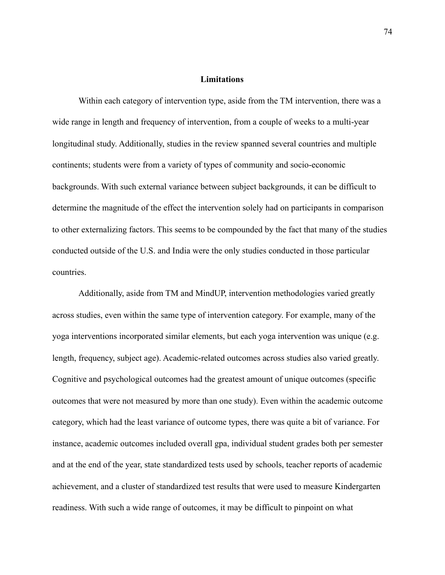## **Limitations**

Within each category of intervention type, aside from the TM intervention, there was a wide range in length and frequency of intervention, from a couple of weeks to a multi-year longitudinal study. Additionally, studies in the review spanned several countries and multiple continents; students were from a variety of types of community and socio-economic backgrounds. With such external variance between subject backgrounds, it can be difficult to determine the magnitude of the effect the intervention solely had on participants in comparison to other externalizing factors. This seems to be compounded by the fact that many of the studies conducted outside of the U.S. and India were the only studies conducted in those particular countries.

Additionally, aside from TM and MindUP, intervention methodologies varied greatly across studies, even within the same type of intervention category. For example, many of the yoga interventions incorporated similar elements, but each yoga intervention was unique (e.g. length, frequency, subject age). Academic-related outcomes across studies also varied greatly. Cognitive and psychological outcomes had the greatest amount of unique outcomes (specific outcomes that were not measured by more than one study). Even within the academic outcome category, which had the least variance of outcome types, there was quite a bit of variance. For instance, academic outcomes included overall gpa, individual student grades both per semester and at the end of the year, state standardized tests used by schools, teacher reports of academic achievement, and a cluster of standardized test results that were used to measure Kindergarten readiness. With such a wide range of outcomes, it may be difficult to pinpoint on what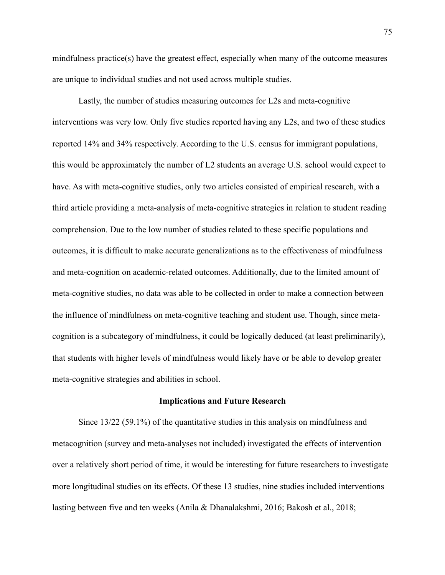mindfulness practice(s) have the greatest effect, especially when many of the outcome measures are unique to individual studies and not used across multiple studies.

Lastly, the number of studies measuring outcomes for L2s and meta-cognitive interventions was very low. Only five studies reported having any L2s, and two of these studies reported 14% and 34% respectively. According to the U.S. census for immigrant populations, this would be approximately the number of L2 students an average U.S. school would expect to have. As with meta-cognitive studies, only two articles consisted of empirical research, with a third article providing a meta-analysis of meta-cognitive strategies in relation to student reading comprehension. Due to the low number of studies related to these specific populations and outcomes, it is difficult to make accurate generalizations as to the effectiveness of mindfulness and meta-cognition on academic-related outcomes. Additionally, due to the limited amount of meta-cognitive studies, no data was able to be collected in order to make a connection between the influence of mindfulness on meta-cognitive teaching and student use. Though, since metacognition is a subcategory of mindfulness, it could be logically deduced (at least preliminarily), that students with higher levels of mindfulness would likely have or be able to develop greater meta-cognitive strategies and abilities in school.

## **Implications and Future Research**

Since 13/22 (59.1%) of the quantitative studies in this analysis on mindfulness and metacognition (survey and meta-analyses not included) investigated the effects of intervention over a relatively short period of time, it would be interesting for future researchers to investigate more longitudinal studies on its effects. Of these 13 studies, nine studies included interventions lasting between five and ten weeks (Anila & Dhanalakshmi, 2016; Bakosh et al., 2018;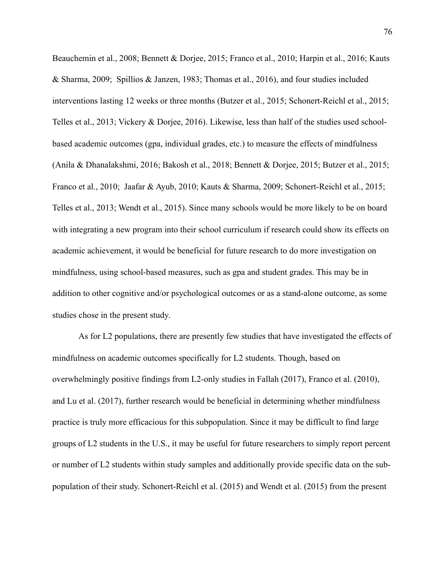Beauchemin et al., 2008; Bennett & Dorjee, 2015; Franco et al., 2010; Harpin et al., 2016; Kauts & Sharma, 2009; Spillios & Janzen, 1983; Thomas et al., 2016), and four studies included interventions lasting 12 weeks or three months (Butzer et al., 2015; Schonert-Reichl et al., 2015; Telles et al., 2013; Vickery & Dorjee, 2016). Likewise, less than half of the studies used schoolbased academic outcomes (gpa, individual grades, etc.) to measure the effects of mindfulness (Anila & Dhanalakshmi, 2016; Bakosh et al., 2018; Bennett & Dorjee, 2015; Butzer et al., 2015; Franco et al., 2010; Jaafar & Ayub, 2010; Kauts & Sharma, 2009; Schonert-Reichl et al., 2015; Telles et al., 2013; Wendt et al., 2015). Since many schools would be more likely to be on board with integrating a new program into their school curriculum if research could show its effects on academic achievement, it would be beneficial for future research to do more investigation on mindfulness, using school-based measures, such as gpa and student grades. This may be in addition to other cognitive and/or psychological outcomes or as a stand-alone outcome, as some studies chose in the present study.

 As for L2 populations, there are presently few studies that have investigated the effects of mindfulness on academic outcomes specifically for L2 students. Though, based on overwhelmingly positive findings from L2-only studies in Fallah (2017), Franco et al. (2010), and Lu et al. (2017), further research would be beneficial in determining whether mindfulness practice is truly more efficacious for this subpopulation. Since it may be difficult to find large groups of L2 students in the U.S., it may be useful for future researchers to simply report percent or number of L2 students within study samples and additionally provide specific data on the subpopulation of their study. Schonert-Reichl et al. (2015) and Wendt et al. (2015) from the present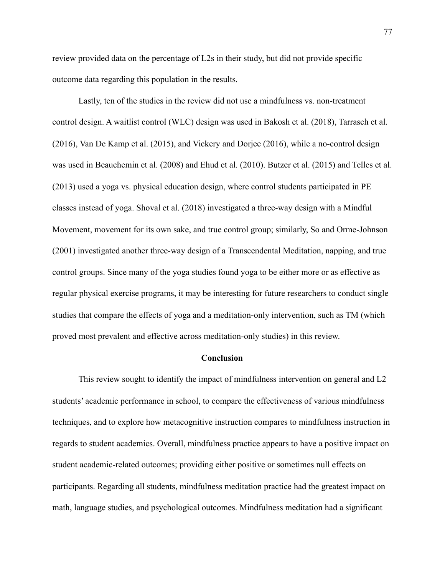review provided data on the percentage of L2s in their study, but did not provide specific outcome data regarding this population in the results.

 Lastly, ten of the studies in the review did not use a mindfulness vs. non-treatment control design. A waitlist control (WLC) design was used in Bakosh et al. (2018), Tarrasch et al. (2016), Van De Kamp et al. (2015), and Vickery and Dorjee (2016), while a no-control design was used in Beauchemin et al. (2008) and Ehud et al. (2010). Butzer et al. (2015) and Telles et al. (2013) used a yoga vs. physical education design, where control students participated in PE classes instead of yoga. Shoval et al. (2018) investigated a three-way design with a Mindful Movement, movement for its own sake, and true control group; similarly, So and Orme-Johnson (2001) investigated another three-way design of a Transcendental Meditation, napping, and true control groups. Since many of the yoga studies found yoga to be either more or as effective as regular physical exercise programs, it may be interesting for future researchers to conduct single studies that compare the effects of yoga and a meditation-only intervention, such as TM (which proved most prevalent and effective across meditation-only studies) in this review.

## **Conclusion**

This review sought to identify the impact of mindfulness intervention on general and L2 students' academic performance in school, to compare the effectiveness of various mindfulness techniques, and to explore how metacognitive instruction compares to mindfulness instruction in regards to student academics. Overall, mindfulness practice appears to have a positive impact on student academic-related outcomes; providing either positive or sometimes null effects on participants. Regarding all students, mindfulness meditation practice had the greatest impact on math, language studies, and psychological outcomes. Mindfulness meditation had a significant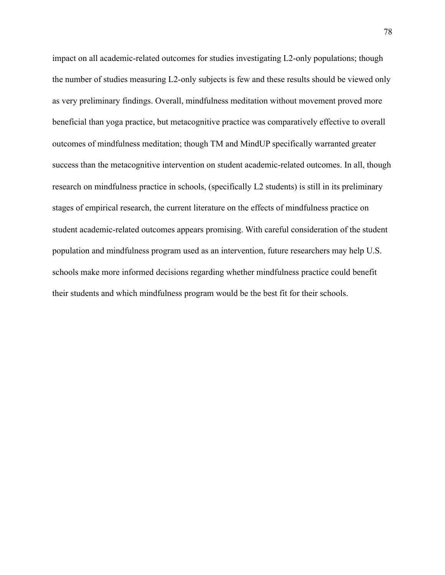impact on all academic-related outcomes for studies investigating L2-only populations; though the number of studies measuring L2-only subjects is few and these results should be viewed only as very preliminary findings. Overall, mindfulness meditation without movement proved more beneficial than yoga practice, but metacognitive practice was comparatively effective to overall outcomes of mindfulness meditation; though TM and MindUP specifically warranted greater success than the metacognitive intervention on student academic-related outcomes. In all, though research on mindfulness practice in schools, (specifically L2 students) is still in its preliminary stages of empirical research, the current literature on the effects of mindfulness practice on student academic-related outcomes appears promising. With careful consideration of the student population and mindfulness program used as an intervention, future researchers may help U.S. schools make more informed decisions regarding whether mindfulness practice could benefit their students and which mindfulness program would be the best fit for their schools.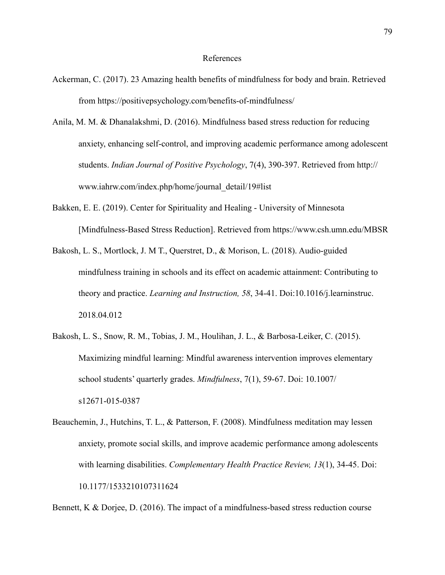- Ackerman, C. (2017). 23 Amazing health benefits of mindfulness for body and brain. Retrieved from https://positivepsychology.com/benefits-of-mindfulness/
- Anila, M. M. & Dhanalakshmi, D. (2016). Mindfulness based stress reduction for reducing anxiety, enhancing self-control, and improving academic performance among adolescent students. *Indian Journal of Positive Psychology*, 7(4), 390-397. Retrieved from http:// www.iahrw.com/index.php/home/journal\_detail/19#list
- Bakken, E. E. (2019). Center for Spirituality and Healing University of Minnesota [Mindfulness-Based Stress Reduction]. Retrieved from https://www.csh.umn.edu/MBSR
- Bakosh, L. S., Mortlock, J. M T., Querstret, D., & Morison, L. (2018). Audio-guided mindfulness training in schools and its effect on academic attainment: Contributing to theory and practice. *Learning and Instruction, 58*, 34-41. Doi:10.1016/j.learninstruc. 2018.04.012
- Bakosh, L. S., Snow, R. M., Tobias, J. M., Houlihan, J. L., & Barbosa-Leiker, C. (2015). Maximizing mindful learning: Mindful awareness intervention improves elementary school students' quarterly grades. *Mindfulness*, 7(1), 59-67. Doi: 10.1007/ s12671-015-0387
- Beauchemin, J., Hutchins, T. L., & Patterson, F. (2008). Mindfulness meditation may lessen anxiety, promote social skills, and improve academic performance among adolescents with learning disabilities. *Complementary Health Practice Review, 13*(1), 34-45. Doi: 10.1177/1533210107311624

Bennett, K & Dorjee, D. (2016). The impact of a mindfulness-based stress reduction course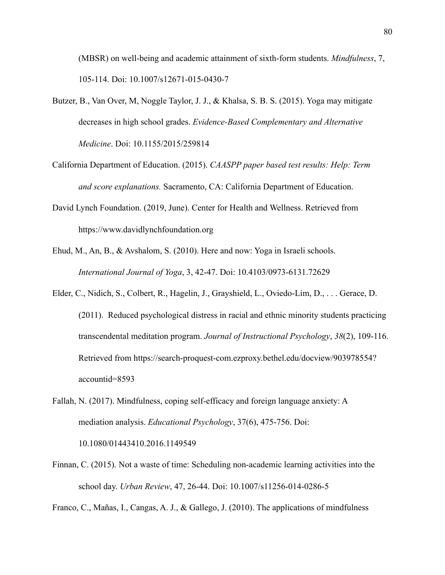(MBSR) on well-being and academic attainment of sixth-form students. *Mindfulness*, 7, 105-114. Doi: 10.1007/s12671-015-0430-7

- Butzer, B., Van Over, M, Noggle Taylor, J. J., & Khalsa, S. B. S. (2015). Yoga may mitigate decreases in high school grades. *Evidence-Based Complementary and Alternative Medicine*. Doi: 10.1155/2015/259814
- California Department of Education. (2015). *CAASPP paper based test results: Help: Term and score explanations.* Sacramento, CA: California Department of Education.
- David Lynch Foundation. (2019, June). Center for Health and Wellness. Retrieved from https://www.davidlynchfoundation.org
- Ehud, M., An, B., & Avshalom, S. (2010). Here and now: Yoga in Israeli schools. *International Journal of Yoga*, 3, 42-47. Doi: 10.4103/0973-6131.72629
- Elder, C., Nidich, S., Colbert, R., Hagelin, J., Grayshield, L., Oviedo-Lim, D., . . . Gerace, D. (2011). Reduced psychological distress in racial and ethnic minority students practicing transcendental meditation program. *Journal of Instructional Psychology*, *38*(2), 109-116. Retrieved from https://search-proquest-com.ezproxy.bethel.edu/docview/903978554? accountid=8593
- Fallah, N. (2017). Mindfulness, coping self-efficacy and foreign language anxiety: A mediation analysis. *Educational Psychology*, 37(6), 475-756. Doi: 10.1080/01443410.2016.1149549
- Finnan, C. (2015). Not a waste of time: Scheduling non-academic learning activities into the school day. *Urban Review*, 47, 26-44. Doi: 10.1007/s11256-014-0286-5

Franco, C., Mañas, I., Cangas, A. J., & Gallego, J. (2010). The applications of mindfulness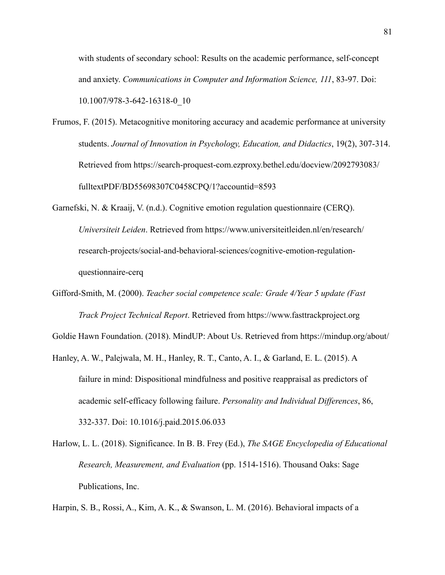with students of secondary school: Results on the academic performance, self-concept and anxiety. *Communications in Computer and Information Science, 111*, 83-97. Doi: 10.1007/978-3-642-16318-0\_10

- Frumos, F. (2015). Metacognitive monitoring accuracy and academic performance at university students. *Journal of Innovation in Psychology, Education, and Didactics*, 19(2), 307-314. Retrieved from https://search-proquest-com.ezproxy.bethel.edu/docview/2092793083/ fulltextPDF/BD55698307C0458CPQ/1?accountid=8593
- Garnefski, N. & Kraaij, V. (n.d.). Cognitive emotion regulation questionnaire (CERQ). *Universiteit Leiden*. Retrieved from https://www.universiteitleiden.nl/en/research/ research-projects/social-and-behavioral-sciences/cognitive-emotion-regulationquestionnaire-cerq
- Gifford-Smith, M. (2000). *Teacher social competence scale: Grade 4/Year 5 update (Fast Track Project Technical Report*. Retrieved from https://www.fasttrackproject.org

Goldie Hawn Foundation. (2018). MindUP: About Us. Retrieved from https://mindup.org/about/

- Hanley, A. W., Palejwala, M. H., Hanley, R. T., Canto, A. I., & Garland, E. L. (2015). A failure in mind: Dispositional mindfulness and positive reappraisal as predictors of academic self-efficacy following failure. *Personality and Individual Differences*, 86, 332-337. Doi: 10.1016/j.paid.2015.06.033
- Harlow, L. L. (2018). Significance. In B. B. Frey (Ed.), *The SAGE Encyclopedia of Educational Research, Measurement, and Evaluation* (pp. 1514-1516). Thousand Oaks: Sage Publications, Inc.

Harpin, S. B., Rossi, A., Kim, A. K., & Swanson, L. M. (2016). Behavioral impacts of a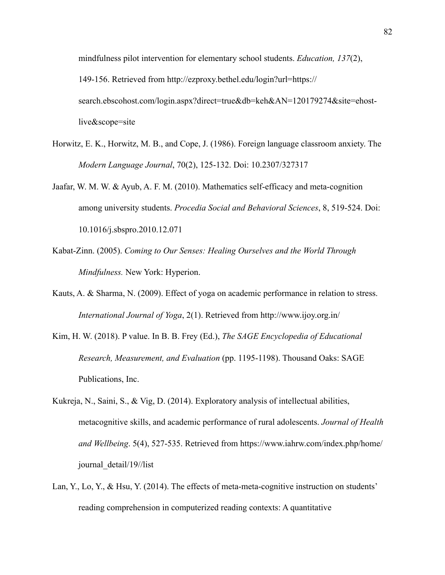mindfulness pilot intervention for elementary school students. *Education, 137*(2), 149-156. Retrieved from http://ezproxy.bethel.edu/login?url=https:// search.ebscohost.com/login.aspx?direct=true&db=keh&AN=120179274&site=ehostlive&scope=site

- Horwitz, E. K., Horwitz, M. B., and Cope, J. (1986). Foreign language classroom anxiety. The *Modern Language Journal*, 70(2), 125-132. Doi: 10.2307/327317
- Jaafar, W. M. W. & Ayub, A. F. M. (2010). Mathematics self-efficacy and meta-cognition among university students. *Procedia Social and Behavioral Sciences*, 8, 519-524. Doi: 10.1016/j.sbspro.2010.12.071
- Kabat-Zinn. (2005). *Coming to Our Senses: Healing Ourselves and the World Through Mindfulness.* New York: Hyperion.
- Kauts, A. & Sharma, N. (2009). Effect of yoga on academic performance in relation to stress. *International Journal of Yoga*, 2(1). Retrieved from http://www.ijoy.org.in/
- Kim, H. W. (2018). P value. In B. B. Frey (Ed.), *The SAGE Encyclopedia of Educational Research, Measurement, and Evaluation* (pp. 1195-1198). Thousand Oaks: SAGE Publications, Inc.
- Kukreja, N., Saini, S., & Vig, D. (2014). Exploratory analysis of intellectual abilities, metacognitive skills, and academic performance of rural adolescents. *Journal of Health and Wellbeing*. 5(4), 527-535. Retrieved from https://www.iahrw.com/index.php/home/ journal\_detail/19//list
- Lan, Y., Lo, Y., & Hsu, Y. (2014). The effects of meta-meta-cognitive instruction on students' reading comprehension in computerized reading contexts: A quantitative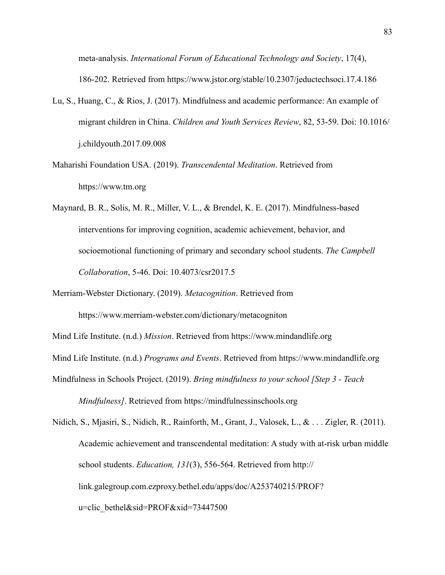meta-analysis. *International Forum of Educational Technology and Society*, 17(4), 186-202. Retrieved from https://www.jstor.org/stable/10.2307/jeductechsoci.17.4.186

- Lu, S., Huang, C., & Rios, J. (2017). Mindfulness and academic performance: An example of migrant children in China. *Children and Youth Services Review*, 82, 53-59. Doi: 10.1016/ j.childyouth.2017.09.008
- Maharishi Foundation USA. (2019). *Transcendental Meditation*. Retrieved from https://www.tm.org
- Maynard, B. R., Solis, M. R., Miller, V. L., & Brendel, K. E. (2017). Mindfulness-based interventions for improving cognition, academic achievement, behavior, and socioemotional functioning of primary and secondary school students. *The Campbell Collaboration*, 5-46. Doi: 10.4073/csr2017.5
- Merriam-Webster Dictionary. (2019). *Metacognition*. Retrieved from

https://www.merriam-webster.com/dictionary/metacogniton

Mind Life Institute. (n.d.) *Mission*. Retrieved from https://www.mindandlife.org

Mind Life Institute. (n.d.) *Programs and Events*. Retrieved from https://www.mindandlife.org

Mindfulness in Schools Project. (2019). *Bring mindfulness to your school [Step 3 - Teach* 

*Mindfulness]*. Retrieved from https://mindfulnessinschools.org

Nidich, S., Mjasiri, S., Nidich, R., Rainforth, M., Grant, J., Valosek, L., & . . . Zigler, R. (2011). Academic achievement and transcendental meditation: A study with at-risk urban middle school students. *Education, 131*(3), 556-564. Retrieved from http:// link.galegroup.com.ezproxy.bethel.edu/apps/doc/A253740215/PROF? u=clic\_bethel&sid=PROF&xid=73447500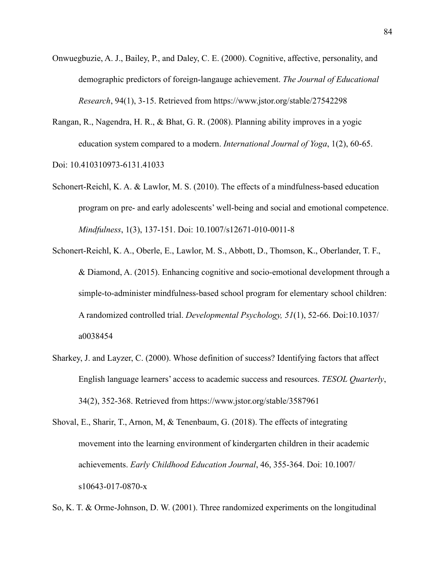- Onwuegbuzie, A. J., Bailey, P., and Daley, C. E. (2000). Cognitive, affective, personality, and demographic predictors of foreign-langauge achievement. *The Journal of Educational Research*, 94(1), 3-15. Retrieved from https://www.jstor.org/stable/27542298
- Rangan, R., Nagendra, H. R., & Bhat, G. R. (2008). Planning ability improves in a yogic education system compared to a modern. *International Journal of Yoga*, 1(2), 60-65.

Doi: 10.410310973-6131.41033

- Schonert-Reichl, K. A. & Lawlor, M. S. (2010). The effects of a mindfulness-based education program on pre- and early adolescents' well-being and social and emotional competence. *Mindfulness*, 1(3), 137-151. Doi: 10.1007/s12671-010-0011-8
- Schonert-Reichl, K. A., Oberle, E., Lawlor, M. S., Abbott, D., Thomson, K., Oberlander, T. F., & Diamond, A. (2015). Enhancing cognitive and socio-emotional development through a simple-to-administer mindfulness-based school program for elementary school children: A randomized controlled trial. *Developmental Psychology, 51*(1), 52-66. Doi:10.1037/ a0038454
- Sharkey, J. and Layzer, C. (2000). Whose definition of success? Identifying factors that affect English language learners' access to academic success and resources. *TESOL Quarterly*, 34(2), 352-368. Retrieved from https://www.jstor.org/stable/3587961
- Shoval, E., Sharir, T., Arnon, M, & Tenenbaum, G. (2018). The effects of integrating movement into the learning environment of kindergarten children in their academic achievements. *Early Childhood Education Journal*, 46, 355-364. Doi: 10.1007/ s10643-017-0870-x

So, K. T. & Orme-Johnson, D. W. (2001). Three randomized experiments on the longitudinal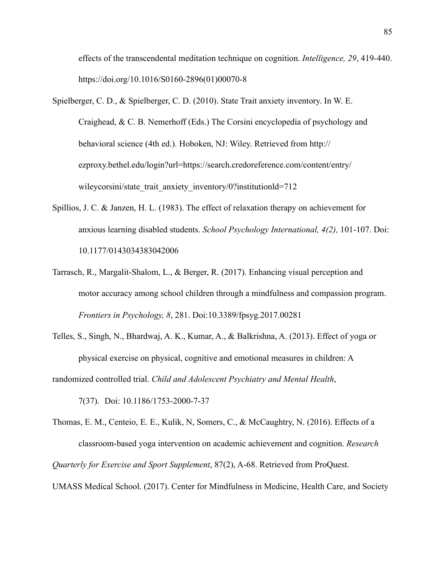effects of the transcendental meditation technique on cognition. *Intelligence, 29*, 419-440. https://doi.org/10.1016/S0160-2896(01)00070-8

- Spielberger, C. D., & Spielberger, C. D. (2010). State Trait anxiety inventory. In W. E. Craighead, & C. B. Nemerhoff (Eds.) The Corsini encyclopedia of psychology and behavioral science (4th ed.). Hoboken, NJ: Wiley. Retrieved from http:// ezproxy.bethel.edu/login?url=https://search.credoreference.com/content/entry/ wileycorsini/state trait anxiety inventory/0?institutionld=712
- Spillios, J. C. & Janzen, H. L. (1983). The effect of relaxation therapy on achievement for anxious learning disabled students. *School Psychology International, 4(2),* 101-107. Doi: 10.1177/0143034383042006
- Tarrasch, R., Margalit-Shalom, L., & Berger, R. (2017). Enhancing visual perception and motor accuracy among school children through a mindfulness and compassion program. *Frontiers in Psychology, 8*, 281. Doi:10.3389/fpsyg.2017.00281
- Telles, S., Singh, N., Bhardwaj, A. K., Kumar, A., & Balkrishna, A. (2013). Effect of yoga or physical exercise on physical, cognitive and emotional measures in children: A

randomized controlled trial. *Child and Adolescent Psychiatry and Mental Health*,

7(37). Doi: 10.1186/1753-2000-7-37

Thomas, E. M., Centeio, E. E., Kulik, N, Somers, C., & McCaughtry, N. (2016). Effects of a classroom-based yoga intervention on academic achievement and cognition. *Research Quarterly for Exercise and Sport Supplement*, 87(2), A-68. Retrieved from ProQuest.

UMASS Medical School. (2017). Center for Mindfulness in Medicine, Health Care, and Society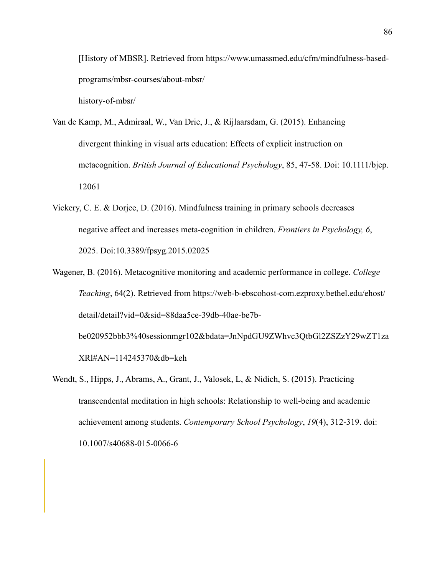[History of MBSR]. Retrieved from https://www.umassmed.edu/cfm/mindfulness-basedprograms/mbsr-courses/about-mbsr/

history-of-mbsr/

- Van de Kamp, M., Admiraal, W., Van Drie, J., & Rijlaarsdam, G. (2015). Enhancing divergent thinking in visual arts education: Effects of explicit instruction on metacognition. *British Journal of Educational Psychology*, 85, 47-58. Doi: 10.1111/bjep. 12061
- Vickery, C. E. & Dorjee, D. (2016). Mindfulness training in primary schools decreases negative affect and increases meta-cognition in children. *Frontiers in Psychology, 6*, 2025. Doi:10.3389/fpsyg.2015.02025
- Wagener, B. (2016). Metacognitive monitoring and academic performance in college. *College Teaching*, 64(2). Retrieved from https://web-b-ebscohost-com.ezproxy.bethel.edu/ehost/ detail/detail?vid=0&sid=88daa5ce-39db-40ae-be7bbe020952bbb3%40sessionmgr102&bdata=JnNpdGU9ZWhvc3QtbGl2ZSZzY29wZT1za XRl#AN=114245370&db=keh
- Wendt, S., Hipps, J., Abrams, A., Grant, J., Valosek, L, & Nidich, S. (2015). Practicing transcendental meditation in high schools: Relationship to well-being and academic achievement among students. *Contemporary School Psychology*, *19*(4), 312-319. doi: 10.1007/s40688-015-0066-6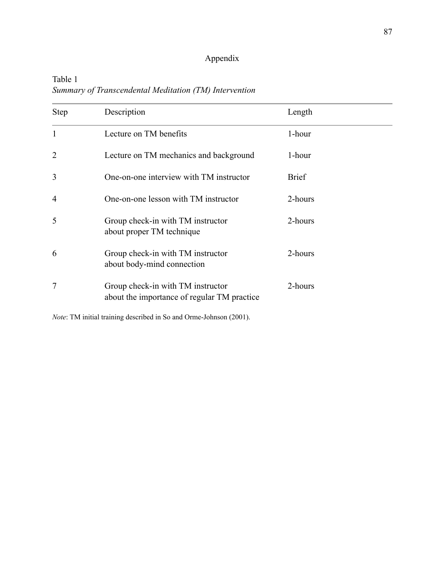# Appendix

Table 1 *Summary of Transcendental Meditation (TM) Intervention* 

| <b>Step</b>    | Description                                                                      | Length       |
|----------------|----------------------------------------------------------------------------------|--------------|
| 1              | Lecture on TM benefits                                                           | 1-hour       |
| $\overline{2}$ | Lecture on TM mechanics and background                                           | 1-hour       |
| 3              | One-on-one interview with TM instructor                                          | <b>Brief</b> |
| $\overline{4}$ | One-on-one lesson with TM instructor                                             | 2-hours      |
| 5              | Group check-in with TM instructor<br>about proper TM technique                   | 2-hours      |
| 6              | Group check-in with TM instructor<br>about body-mind connection                  | 2-hours      |
| 7              | Group check-in with TM instructor<br>about the importance of regular TM practice | 2-hours      |

*Note*: TM initial training described in So and Orme-Johnson (2001).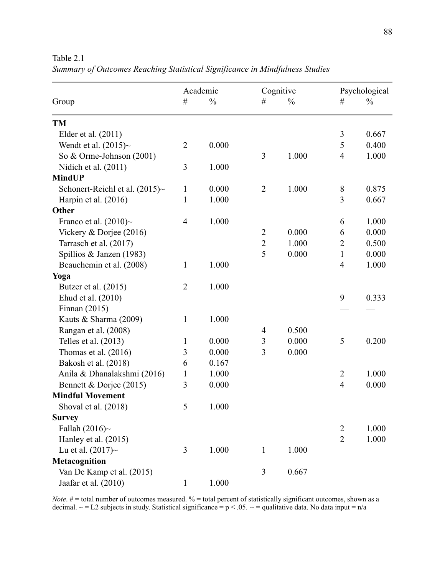Table 2.1

|  | Summary of Outcomes Reaching Statistical Significance in Mindfulness Studies |
|--|------------------------------------------------------------------------------|
|  |                                                                              |

|                                  | Academic       |               | Cognitive      |               | Psychological  |               |
|----------------------------------|----------------|---------------|----------------|---------------|----------------|---------------|
| Group                            | $\#$           | $\frac{0}{0}$ | #              | $\frac{0}{0}$ | #              | $\frac{0}{0}$ |
| <b>TM</b>                        |                |               |                |               |                |               |
| Elder et al. (2011)              |                |               |                |               | $\overline{3}$ | 0.667         |
| Wendt et al. $(2015)~$           | $\overline{2}$ | 0.000         |                |               | 5              | 0.400         |
| So & Orme-Johnson (2001)         |                |               | 3              | 1.000         | $\overline{4}$ | 1.000         |
| Nidich et al. (2011)             | 3              | 1.000         |                |               |                |               |
| <b>MindUP</b>                    |                |               |                |               |                |               |
| Schonert-Reichl et al. $(2015)~$ | $\mathbf{1}$   | 0.000         | $\overline{2}$ | 1.000         | 8              | 0.875         |
| Harpin et al. (2016)             | $\mathbf{1}$   | 1.000         |                |               | 3              | 0.667         |
| Other                            |                |               |                |               |                |               |
| Franco et al. $(2010)~$          | $\overline{4}$ | 1.000         |                |               | 6              | 1.000         |
| Vickery & Dorjee (2016)          |                |               | $\overline{2}$ | 0.000         | 6              | 0.000         |
| Tarrasch et al. (2017)           |                |               | $\overline{2}$ | 1.000         | $\overline{2}$ | 0.500         |
| Spillios & Janzen (1983)         |                |               | 5              | 0.000         | $\mathbf{1}$   | 0.000         |
| Beauchemin et al. (2008)         | $\mathbf{1}$   | 1.000         |                |               | 4              | 1.000         |
| Yoga                             |                |               |                |               |                |               |
| Butzer et al. (2015)             | $\overline{2}$ | 1.000         |                |               |                |               |
| Ehud et al. (2010)               |                |               |                |               | 9              | 0.333         |
| Finnan $(2015)$                  |                |               |                |               |                |               |
| Kauts & Sharma (2009)            | $\mathbf{1}$   | 1.000         |                |               |                |               |
| Rangan et al. (2008)             |                |               | $\overline{4}$ | 0.500         |                |               |
| Telles et al. (2013)             | $\mathbf{1}$   | 0.000         | 3              | 0.000         | 5              | 0.200         |
| Thomas et al. $(2016)$           | 3              | 0.000         | 3              | 0.000         |                |               |
| Bakosh et al. (2018)             | 6              | 0.167         |                |               |                |               |
| Anila & Dhanalakshmi (2016)      | $\mathbf{1}$   | 1.000         |                |               | $\overline{2}$ | 1.000         |
| Bennett & Dorjee (2015)          | 3              | 0.000         |                |               | $\overline{4}$ | 0.000         |
| <b>Mindful Movement</b>          |                |               |                |               |                |               |
| Shoval et al. (2018)             | 5              | 1.000         |                |               |                |               |
| <b>Survey</b>                    |                |               |                |               |                |               |
| Fallah (2016) $\sim$             |                |               |                |               | $\overline{2}$ | 1.000         |
| Hanley et al. (2015)             |                |               |                |               | $\overline{2}$ | 1.000         |
| Lu et al. $(2017)$ ~             | 3              | 1.000         | $\mathbf{1}$   | 1.000         |                |               |
| Metacognition                    |                |               |                |               |                |               |
| Van De Kamp et al. (2015)        |                |               | 3              | 0.667         |                |               |
| Jaafar et al. (2010)             | $\mathbf{1}$   | 1.000         |                |               |                |               |

*Note*. # = total number of outcomes measured. % = total percent of statistically significant outcomes, shown as a decimal.  $\sim$  = L2 subjects in study. Statistical significance = p < .05. -- = qualitative data. No data input = n/a